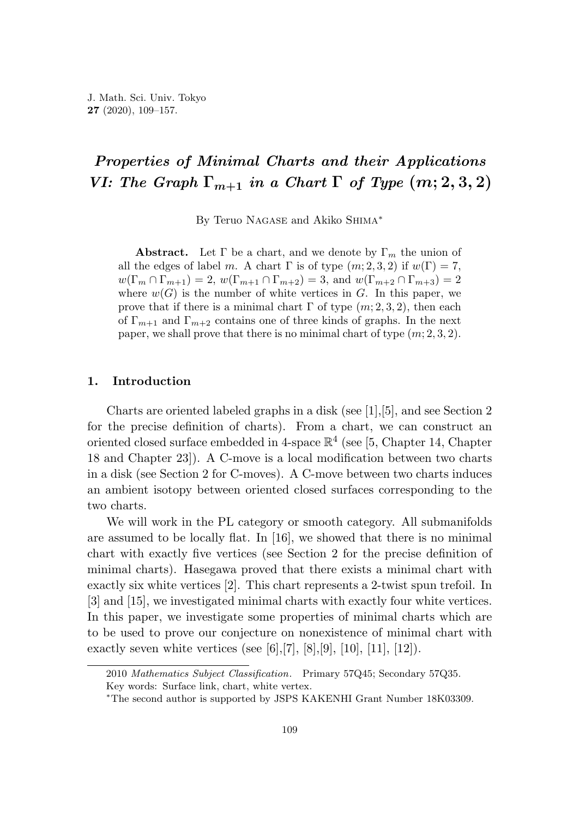# *Properties of Minimal Charts and their Applications VI: The Graph*  $\Gamma_{m+1}$  *in a Chart*  $\Gamma$  *of Type*  $(m; 2, 3, 2)$

By Teruo Nagase and Akiko Shima<sup>∗</sup>

**Abstract.** Let  $\Gamma$  be a chart, and we denote by  $\Gamma_m$  the union of all the edges of label *m*. A chart  $\Gamma$  is of type  $(m; 2, 3, 2)$  if  $w(\Gamma) = 7$ ,  $w(\Gamma_m \cap \Gamma_{m+1}) = 2$ ,  $w(\Gamma_{m+1} \cap \Gamma_{m+2}) = 3$ , and  $w(\Gamma_{m+2} \cap \Gamma_{m+3}) = 2$ where  $w(G)$  is the number of white vertices in *G*. In this paper, we prove that if there is a minimal chart  $\Gamma$  of type  $(m; 2, 3, 2)$ , then each of  $\Gamma_{m+1}$  and  $\Gamma_{m+2}$  contains one of three kinds of graphs. In the next paper, we shall prove that there is no minimal chart of type (*m*; 2*,* 3*,* 2).

### **1. Introduction**

Charts are oriented labeled graphs in a disk (see [1],[5], and see Section 2 for the precise definition of charts). From a chart, we can construct an oriented closed surface embedded in 4-space  $\mathbb{R}^4$  (see [5, Chapter 14, Chapter 18 and Chapter 23]). A C-move is a local modification between two charts in a disk (see Section 2 for C-moves). A C-move between two charts induces an ambient isotopy between oriented closed surfaces corresponding to the two charts.

We will work in the PL category or smooth category. All submanifolds are assumed to be locally flat. In [16], we showed that there is no minimal chart with exactly five vertices (see Section 2 for the precise definition of minimal charts). Hasegawa proved that there exists a minimal chart with exactly six white vertices [2]. This chart represents a 2-twist spun trefoil. In [3] and [15], we investigated minimal charts with exactly four white vertices. In this paper, we investigate some properties of minimal charts which are to be used to prove our conjecture on nonexistence of minimal chart with exactly seven white vertices (see [6], [7], [8], [9], [10], [11], [12]).

<sup>2010</sup> *Mathematics Subject Classification*. Primary 57Q45; Secondary 57Q35.

Key words: Surface link, chart, white vertex.

<sup>∗</sup>The second author is supported by JSPS KAKENHI Grant Number 18K03309.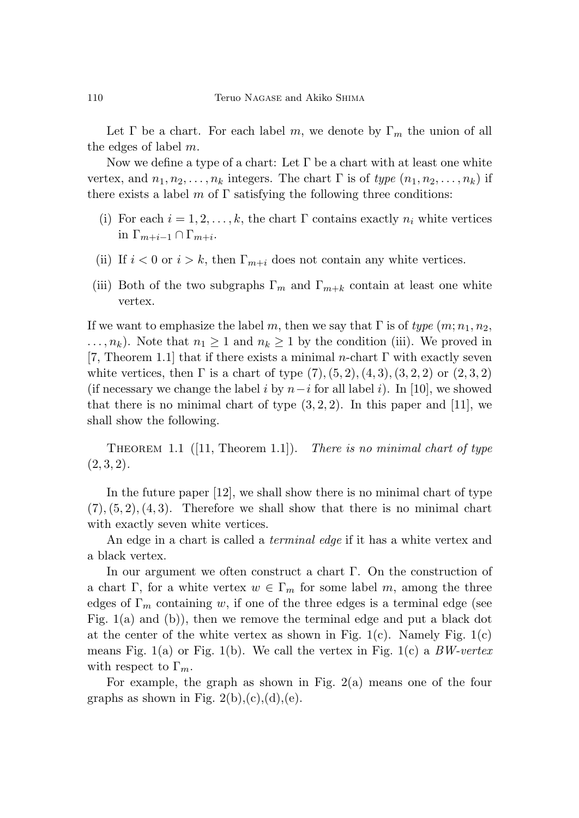Let  $\Gamma$  be a chart. For each label *m*, we denote by  $\Gamma_m$  the union of all the edges of label *m*.

Now we define a type of a chart: Let  $\Gamma$  be a chart with at least one white vertex, and  $n_1, n_2, \ldots, n_k$  integers. The chart  $\Gamma$  is of type  $(n_1, n_2, \ldots, n_k)$  if there exists a label  $m$  of  $\Gamma$  satisfying the following three conditions:

- (i) For each  $i = 1, 2, \ldots, k$ , the chart  $\Gamma$  contains exactly  $n_i$  white vertices in  $\Gamma_{m+i-1} \cap \Gamma_{m+i}$ .
- (ii) If  $i < 0$  or  $i > k$ , then  $\Gamma_{m+i}$  does not contain any white vertices.
- (iii) Both of the two subgraphs  $\Gamma_m$  and  $\Gamma_{m+k}$  contain at least one white vertex.

If we want to emphasize the label *m*, then we say that  $\Gamma$  is of type  $(m; n_1, n_2,$  $\ldots, n_k$ ). Note that  $n_1 \geq 1$  and  $n_k \geq 1$  by the condition (iii). We proved in [7, Theorem 1.1] that if there exists a minimal *n*-chart Γ with exactly seven white vertices, then  $\Gamma$  is a chart of type  $(7)$ ,  $(5, 2)$ ,  $(4, 3)$ ,  $(3, 2, 2)$  or  $(2, 3, 2)$ (if necessary we change the label *i* by  $n-i$  for all label *i*). In [10], we showed that there is no minimal chart of type  $(3, 2, 2)$ . In this paper and [11], we shall show the following.

THEOREM 1.1  $([11,$  Theorem 1.1]). There is no minimal chart of type  $(2, 3, 2).$ 

In the future paper [12], we shall show there is no minimal chart of type  $(7), (5, 2), (4, 3)$ . Therefore we shall show that there is no minimal chart with exactly seven white vertices.

An edge in a chart is called a terminal edge if it has a white vertex and a black vertex.

In our argument we often construct a chart Γ. On the construction of a chart Γ, for a white vertex  $w \in \Gamma_m$  for some label *m*, among the three edges of  $\Gamma_m$  containing *w*, if one of the three edges is a terminal edge (see Fig. 1(a) and (b)), then we remove the terminal edge and put a black dot at the center of the white vertex as shown in Fig.  $1(c)$ . Namely Fig.  $1(c)$ means Fig. 1(a) or Fig. 1(b). We call the vertex in Fig. 1(c) a  $BW-vertex$ with respect to Γ*m*.

For example, the graph as shown in Fig. 2(a) means one of the four graphs as shown in Fig.  $2(b),(c),(d),(e)$ .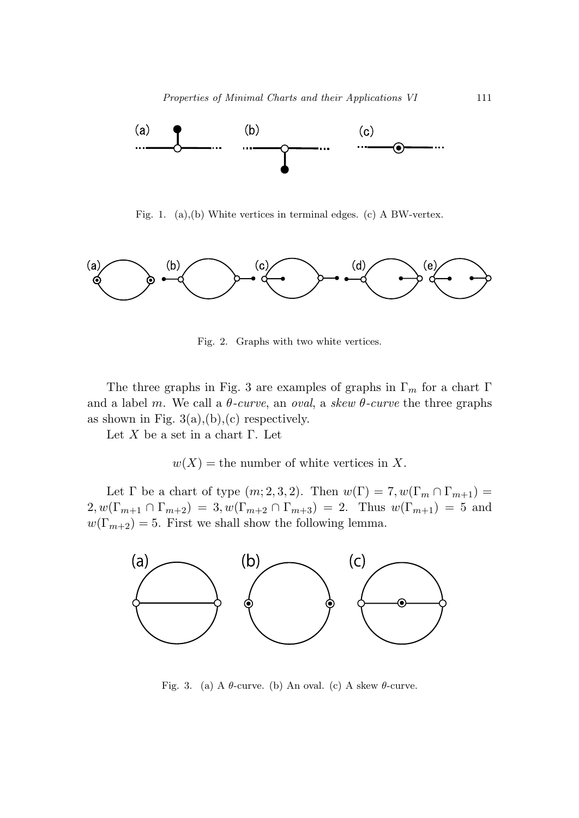

Fig. 1. (a),(b) White vertices in terminal edges. (c) A BW-vertex.



Fig. 2. Graphs with two white vertices.

The three graphs in Fig. 3 are examples of graphs in  $\Gamma_m$  for a chart  $\Gamma$ and a label *m*. We call a  $\theta$ -curve, an oval, a skew  $\theta$ -curve the three graphs as shown in Fig.  $3(a),(b),(c)$  respectively.

Let *X* be a set in a chart Γ. Let

 $w(X)$  = the number of white vertices in X.

Let  $\Gamma$  be a chart of type  $(m; 2, 3, 2)$ . Then  $w(\Gamma) = 7, w(\Gamma_m \cap \Gamma_{m+1}) =$  $2,w(\Gamma_{m+1}\cap\Gamma_{m+2})=3,w(\Gamma_{m+2}\cap\Gamma_{m+3})=2.$  Thus  $w(\Gamma_{m+1})=5$  and  $w(\Gamma_{m+2}) = 5$ . First we shall show the following lemma.



Fig. 3. (a) A  $\theta$ -curve. (b) An oval. (c) A skew  $\theta$ -curve.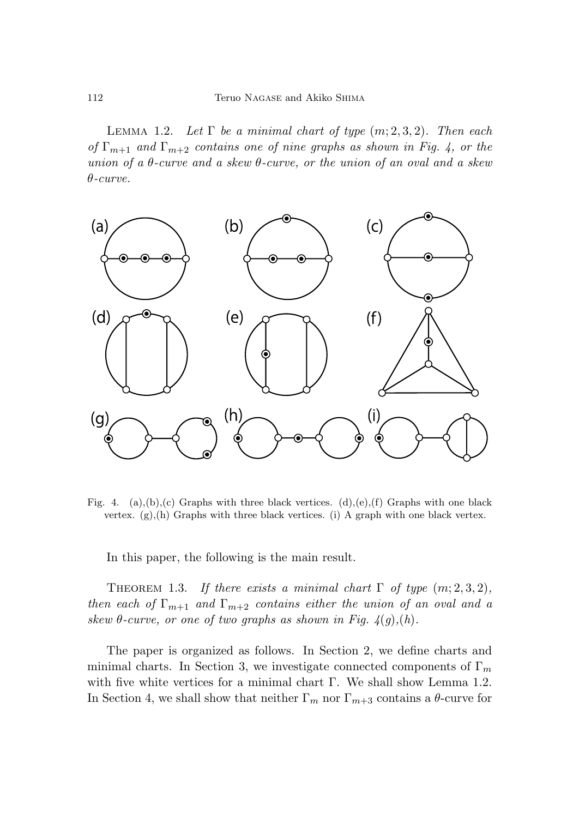LEMMA 1.2. Let  $\Gamma$  be a minimal chart of type  $(m; 2, 3, 2)$ . Then each of  $\Gamma_{m+1}$  and  $\Gamma_{m+2}$  contains one of nine graphs as shown in Fig. 4, or the union of a *θ*-curve and a skew *θ*-curve, or the union of an oval and a skew *θ*-curve.



Fig. 4. (a),(b),(c) Graphs with three black vertices. (d),(e),(f) Graphs with one black vertex.  $(g),(h)$  Graphs with three black vertices. (i) A graph with one black vertex.

In this paper, the following is the main result.

THEOREM 1.3. If there exists a minimal chart  $\Gamma$  of type  $(m; 2, 3, 2)$ , then each of  $\Gamma_{m+1}$  and  $\Gamma_{m+2}$  contains either the union of an oval and a skew  $\theta$ -curve, or one of two graphs as shown in Fig.  $4(g)$ ,  $(h)$ .

The paper is organized as follows. In Section 2, we define charts and minimal charts. In Section 3, we investigate connected components of Γ*<sup>m</sup>* with five white vertices for a minimal chart Γ. We shall show Lemma 1.2. In Section 4, we shall show that neither  $\Gamma_m$  nor  $\Gamma_{m+3}$  contains a  $\theta$ -curve for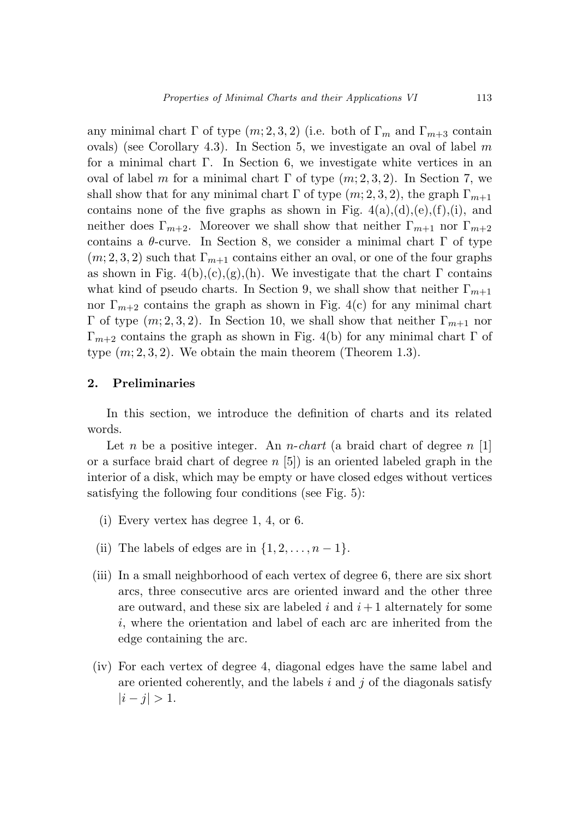any minimal chart  $\Gamma$  of type  $(m; 2, 3, 2)$  (i.e. both of  $\Gamma_m$  and  $\Gamma_{m+3}$  contain ovals) (see Corollary 4.3). In Section 5, we investigate an oval of label *m* for a minimal chart Γ. In Section 6, we investigate white vertices in an oval of label *m* for a minimal chart  $\Gamma$  of type  $(m; 2, 3, 2)$ . In Section 7, we shall show that for any minimal chart  $\Gamma$  of type  $(m; 2, 3, 2)$ , the graph  $\Gamma_{m+1}$ contains none of the five graphs as shown in Fig.  $4(a), (d), (e), (f), (i),$  and neither does  $\Gamma_{m+2}$ . Moreover we shall show that neither  $\Gamma_{m+1}$  nor  $\Gamma_{m+2}$ contains a  $\theta$ -curve. In Section 8, we consider a minimal chart  $\Gamma$  of type  $(m, 2, 3, 2)$  such that  $\Gamma_{m+1}$  contains either an oval, or one of the four graphs as shown in Fig. 4(b),(c),(g),(h). We investigate that the chart  $\Gamma$  contains what kind of pseudo charts. In Section 9, we shall show that neither  $\Gamma_{m+1}$ nor  $\Gamma_{m+2}$  contains the graph as shown in Fig. 4(c) for any minimal chart Γ of type  $(m; 2, 3, 2)$ . In Section 10, we shall show that neither  $\Gamma_{m+1}$  nor  $\Gamma_{m+2}$  contains the graph as shown in Fig. 4(b) for any minimal chart Γ of type  $(m; 2, 3, 2)$ . We obtain the main theorem (Theorem 1.3).

### **2. Preliminaries**

In this section, we introduce the definition of charts and its related words.

Let *n* be a positive integer. An *n*-chart (a braid chart of degree *n* [1] or a surface braid chart of degree *n* [5]) is an oriented labeled graph in the interior of a disk, which may be empty or have closed edges without vertices satisfying the following four conditions (see Fig. 5):

- (i) Every vertex has degree 1, 4, or 6.
- (ii) The labels of edges are in  $\{1, 2, \ldots, n-1\}$ .
- (iii) In a small neighborhood of each vertex of degree 6, there are six short arcs, three consecutive arcs are oriented inward and the other three are outward, and these six are labeled  $i$  and  $i+1$  alternately for some *i*, where the orientation and label of each arc are inherited from the edge containing the arc.
- (iv) For each vertex of degree 4, diagonal edges have the same label and are oriented coherently, and the labels *i* and *j* of the diagonals satisfy  $|i - j| > 1.$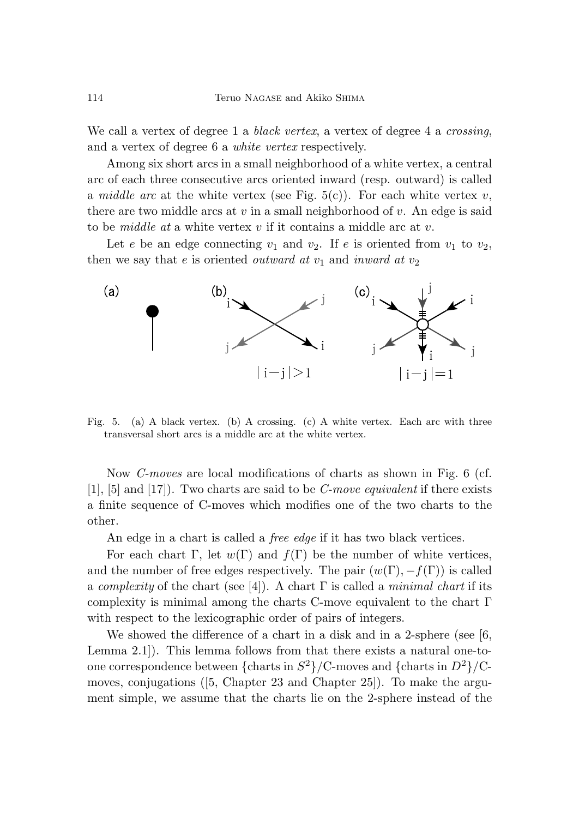We call a vertex of degree 1 a *black vertex*, a vertex of degree 4 a *crossing*, and a vertex of degree 6 a white vertex respectively.

Among six short arcs in a small neighborhood of a white vertex, a central arc of each three consecutive arcs oriented inward (resp. outward) is called a *middle arc* at the white vertex (see Fig.  $5(c)$ ). For each white vertex *v*, there are two middle arcs at *v* in a small neighborhood of *v*. An edge is said to be middle at a white vertex *v* if it contains a middle arc at *v*.

Let *e* be an edge connecting  $v_1$  and  $v_2$ . If *e* is oriented from  $v_1$  to  $v_2$ , then we say that  $e$  is oriented *outward* at  $v_1$  and *inward* at  $v_2$ 



Fig. 5. (a) A black vertex. (b) A crossing. (c) A white vertex. Each arc with three transversal short arcs is a middle arc at the white vertex.

Now C-moves are local modifications of charts as shown in Fig. 6 (cf. [1], [5] and [17]). Two charts are said to be C-move equivalent if there exists a finite sequence of C-moves which modifies one of the two charts to the other.

An edge in a chart is called a *free edge* if it has two black vertices.

For each chart  $\Gamma$ , let  $w(\Gamma)$  and  $f(\Gamma)$  be the number of white vertices, and the number of free edges respectively. The pair  $(w(\Gamma), -f(\Gamma))$  is called a complexity of the chart (see [4]). A chart  $\Gamma$  is called a minimal chart if its complexity is minimal among the charts C-move equivalent to the chart  $\Gamma$ with respect to the lexicographic order of pairs of integers.

We showed the difference of a chart in a disk and in a 2-sphere (see [6, Lemma 2.1]). This lemma follows from that there exists a natural one-toone correspondence between  ${\{\text{charts in } S^2\}}/C$ -moves and  ${\{\text{charts in } D^2\}}/C$ moves, conjugations ( $[5, Chapter 23 and Chapter 25]$ ). To make the argument simple, we assume that the charts lie on the 2-sphere instead of the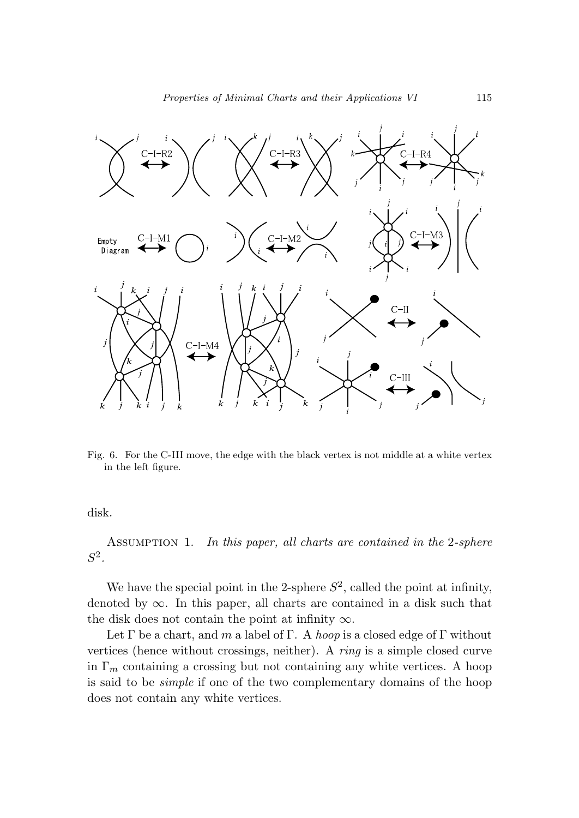

Fig. 6. For the C-III move, the edge with the black vertex is not middle at a white vertex in the left figure.

disk.

ASSUMPTION 1. In this paper, all charts are contained in the 2-sphere *S*2.

We have the special point in the 2-sphere  $S^2$ , called the point at infinity, denoted by  $\infty$ . In this paper, all charts are contained in a disk such that the disk does not contain the point at infinity  $\infty$ .

Let  $\Gamma$  be a chart, and  $m$  a label of  $\Gamma$ . A hoop is a closed edge of  $\Gamma$  without vertices (hence without crossings, neither). A ring is a simple closed curve in  $\Gamma_m$  containing a crossing but not containing any white vertices. A hoop is said to be simple if one of the two complementary domains of the hoop does not contain any white vertices.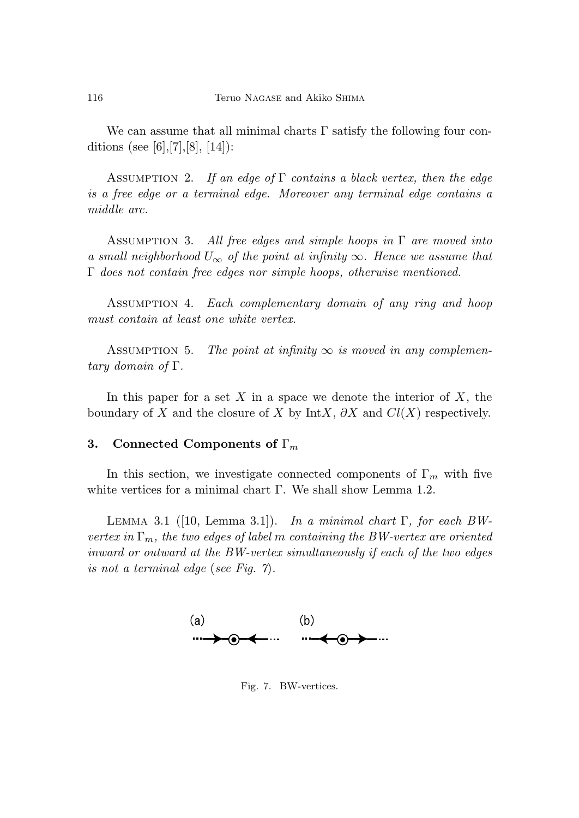We can assume that all minimal charts  $\Gamma$  satisfy the following four conditions (see [6], [7], [8], [14]):

ASSUMPTION 2. If an edge of  $\Gamma$  contains a black vertex, then the edge is a free edge or a terminal edge. Moreover any terminal edge contains a middle arc.

ASSUMPTION 3. All free edges and simple hoops in  $\Gamma$  are moved into a small neighborhood  $U_{\infty}$  of the point at infinity  $\infty$ . Hence we assume that Γ does not contain free edges nor simple hoops, otherwise mentioned.

ASSUMPTION 4. Each complementary domain of any ring and hoop must contain at least one white vertex.

ASSUMPTION 5. The point at infinity  $\infty$  is moved in any complementary domain of Γ.

In this paper for a set *X* in a space we denote the interior of *X*, the boundary of *X* and the closure of *X* by Int*X*,  $\partial X$  and  $Cl(X)$  respectively.

### **3. Connected Components of** Γ*<sup>m</sup>*

In this section, we investigate connected components of  $\Gamma_m$  with five white vertices for a minimal chart Γ. We shall show Lemma 1.2.

LEMMA 3.1 ([10, Lemma 3.1]). In a minimal chart  $\Gamma$ , for each BWvertex in  $\Gamma_m$ , the two edges of label *m* containing the BW-vertex are oriented inward or outward at the BW-vertex simultaneously if each of the two edges is not a terminal edge (see Fig.  $\gamma$ ).



Fig. 7. BW-vertices.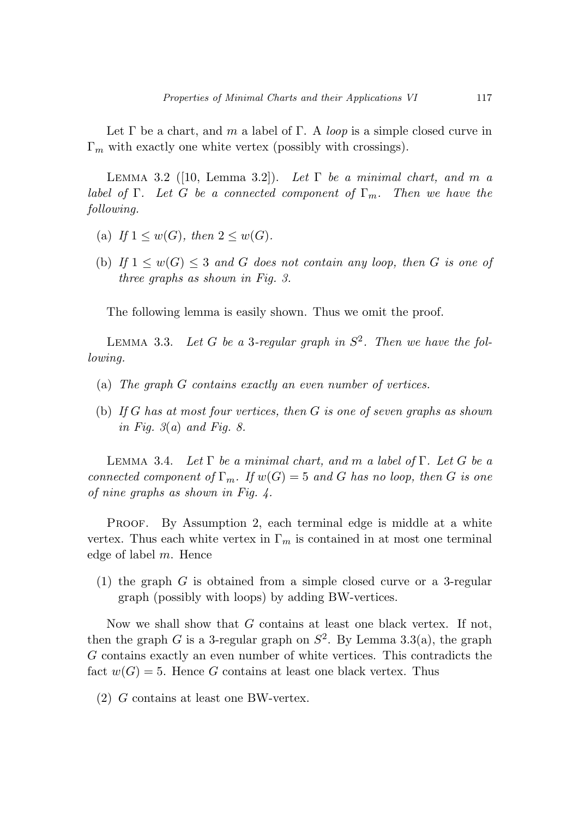Let  $\Gamma$  be a chart, and  $m$  a label of  $\Gamma$ . A *loop* is a simple closed curve in Γ*<sup>m</sup>* with exactly one white vertex (possibly with crossings).

LEMMA 3.2 ([10, Lemma 3.2]). Let  $\Gamma$  be a minimal chart, and m a label of  $\Gamma$ . Let *G* be a connected component of  $\Gamma_m$ . Then we have the following.

- (a) If  $1 \leq w(G)$ , then  $2 \leq w(G)$ .
- (b) If  $1 \leq w(G) \leq 3$  and *G* does not contain any loop, then *G* is one of three graphs as shown in Fig. 3.

The following lemma is easily shown. Thus we omit the proof.

LEMMA 3.3. Let *G* be a 3-regular graph in  $S^2$ . Then we have the following.

- (a) The graph *G* contains exactly an even number of vertices.
- (b) If *G* has at most four vertices, then *G* is one of seven graphs as shown in Fig.  $3(a)$  and Fig. 8.

Lemma 3.4. Let Γ be a minimal chart, and *m* a label of Γ. Let *G* be a connected component of  $\Gamma_m$ . If  $w(G) = 5$  and *G* has no loop, then *G* is one of nine graphs as shown in Fig. 4.

PROOF. By Assumption 2, each terminal edge is middle at a white vertex. Thus each white vertex in  $\Gamma_m$  is contained in at most one terminal edge of label *m*. Hence

(1) the graph *G* is obtained from a simple closed curve or a 3-regular graph (possibly with loops) by adding BW-vertices.

Now we shall show that *G* contains at least one black vertex. If not, then the graph *G* is a 3-regular graph on  $S^2$ . By Lemma 3.3(a), the graph *G* contains exactly an even number of white vertices. This contradicts the fact  $w(G) = 5$ . Hence *G* contains at least one black vertex. Thus

(2) *G* contains at least one BW-vertex.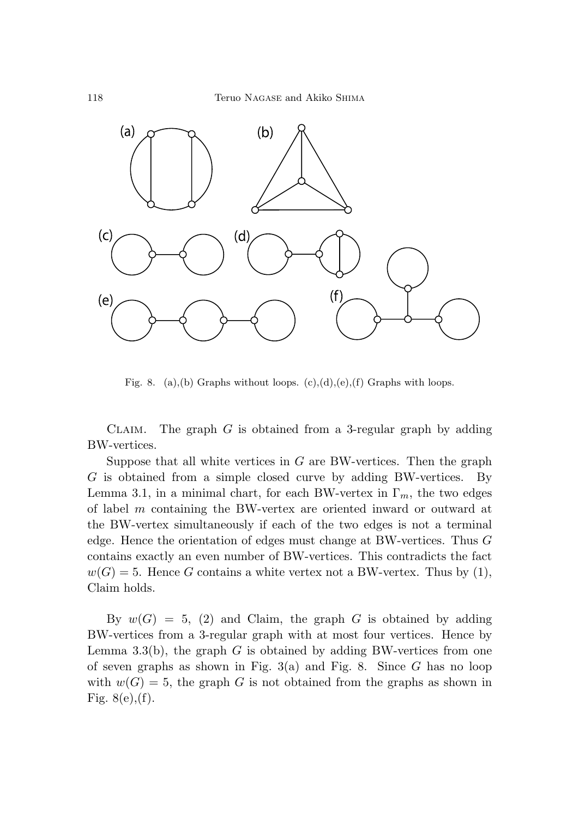

Fig. 8. (a),(b) Graphs without loops.  $(c)$ , $(d)$ , $(e)$ , $(f)$  Graphs with loops.

Claim. The graph *G* is obtained from a 3-regular graph by adding BW-vertices.

Suppose that all white vertices in *G* are BW-vertices. Then the graph *G* is obtained from a simple closed curve by adding BW-vertices. By Lemma 3.1, in a minimal chart, for each BW-vertex in  $\Gamma_m$ , the two edges of label *m* containing the BW-vertex are oriented inward or outward at the BW-vertex simultaneously if each of the two edges is not a terminal edge. Hence the orientation of edges must change at BW-vertices. Thus *G* contains exactly an even number of BW-vertices. This contradicts the fact  $w(G) = 5$ . Hence *G* contains a white vertex not a BW-vertex. Thus by (1), Claim holds.

By  $w(G) = 5$ , (2) and Claim, the graph *G* is obtained by adding BW-vertices from a 3-regular graph with at most four vertices. Hence by Lemma 3.3(b), the graph *G* is obtained by adding BW-vertices from one of seven graphs as shown in Fig. 3(a) and Fig. 8. Since *G* has no loop with  $w(G) = 5$ , the graph *G* is not obtained from the graphs as shown in Fig.  $8(e), (f)$ .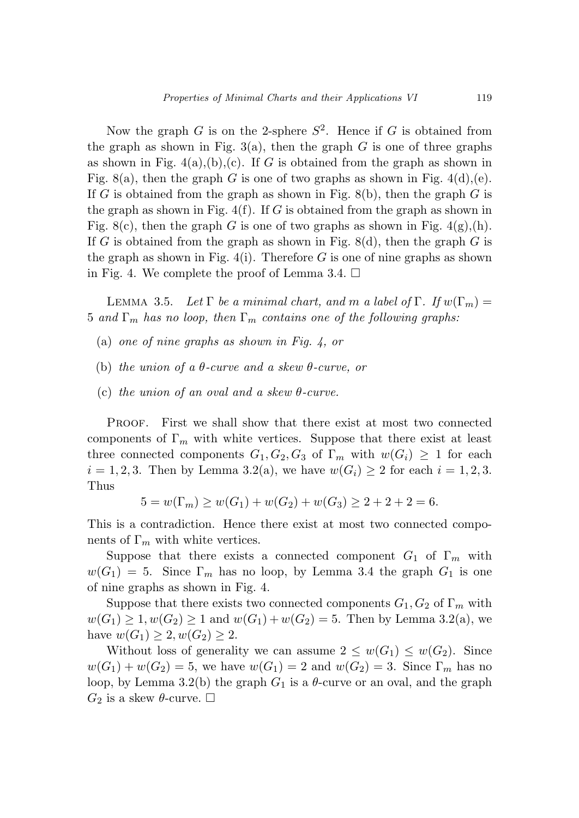Now the graph *G* is on the 2-sphere  $S^2$ . Hence if *G* is obtained from the graph as shown in Fig.  $3(a)$ , then the graph *G* is one of three graphs as shown in Fig.  $4(a)$ , (b), (c). If *G* is obtained from the graph as shown in Fig. 8(a), then the graph *G* is one of two graphs as shown in Fig.  $4(d)$ , (e). If *G* is obtained from the graph as shown in Fig. 8(b), then the graph *G* is the graph as shown in Fig. 4(f). If *G* is obtained from the graph as shown in Fig. 8(c), then the graph *G* is one of two graphs as shown in Fig.  $4(g)(h)$ . If *G* is obtained from the graph as shown in Fig. 8(d), then the graph *G* is the graph as shown in Fig.  $4(i)$ . Therefore *G* is one of nine graphs as shown in Fig. 4. We complete the proof of Lemma 3.4.  $\Box$ 

LEMMA 3.5. Let  $\Gamma$  be a minimal chart, and m a label of  $\Gamma$ . If  $w(\Gamma_m) =$ 5 and  $\Gamma_m$  has no loop, then  $\Gamma_m$  contains one of the following graphs:

- (a) one of nine graphs as shown in Fig. 4, or
- (b) the union of a *θ*-curve and a skew *θ*-curve, or
- (c) the union of an oval and a skew *θ*-curve.

Proof. First we shall show that there exist at most two connected components of  $\Gamma_m$  with white vertices. Suppose that there exist at least three connected components  $G_1, G_2, G_3$  of  $\Gamma_m$  with  $w(G_i) \geq 1$  for each  $i = 1, 2, 3$ . Then by Lemma 3.2(a), we have  $w(G_i) \geq 2$  for each  $i = 1, 2, 3$ . Thus

$$
5 = w(\Gamma_m) \ge w(G_1) + w(G_2) + w(G_3) \ge 2 + 2 + 2 = 6.
$$

This is a contradiction. Hence there exist at most two connected components of  $\Gamma_m$  with white vertices.

Suppose that there exists a connected component  $G_1$  of  $\Gamma_m$  with  $w(G_1) = 5$ . Since  $\Gamma_m$  has no loop, by Lemma 3.4 the graph  $G_1$  is one of nine graphs as shown in Fig. 4.

Suppose that there exists two connected components  $G_1, G_2$  of  $\Gamma_m$  with  $w(G_1) \geq 1, w(G_2) \geq 1$  and  $w(G_1) + w(G_2) = 5$ . Then by Lemma 3.2(a), we have  $w(G_1) \geq 2, w(G_2) \geq 2$ .

Without loss of generality we can assume  $2 \leq w(G_1) \leq w(G_2)$ . Since  $w(G_1) + w(G_2) = 5$ , we have  $w(G_1) = 2$  and  $w(G_2) = 3$ . Since  $\Gamma_m$  has no loop, by Lemma 3.2(b) the graph  $G_1$  is a  $\theta$ -curve or an oval, and the graph  $G_2$  is a skew  $\theta$ -curve.  $\Box$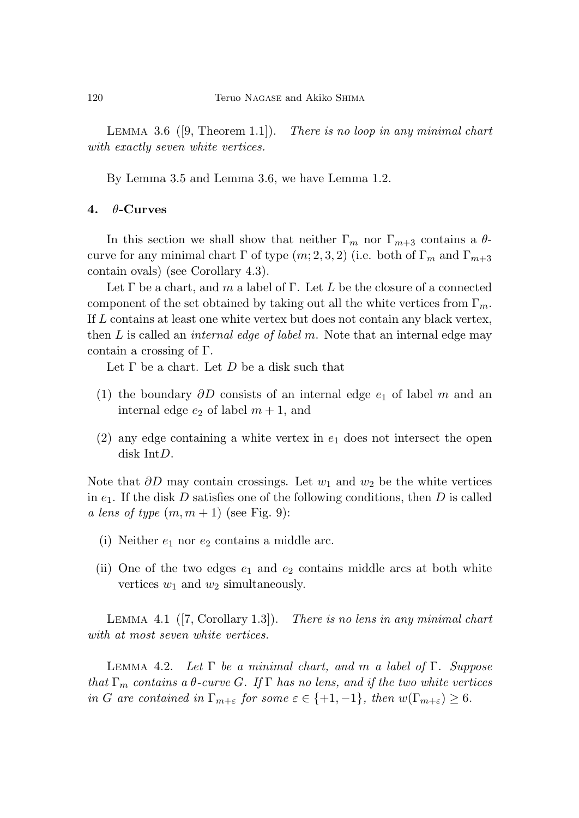LEMMA 3.6  $([9, Theorem 1.1]).$ There is no loop in any minimal chart with exactly seven white vertices.

By Lemma 3.5 and Lemma 3.6, we have Lemma 1.2.

### **4.** *θ***-Curves**

In this section we shall show that neither  $\Gamma_m$  nor  $\Gamma_{m+3}$  contains a  $\theta$ curve for any minimal chart  $\Gamma$  of type  $(m; 2, 3, 2)$  (i.e. both of  $\Gamma_m$  and  $\Gamma_{m+3}$ contain ovals) (see Corollary 4.3).

Let Γ be a chart, and *m* a label of Γ. Let *L* be the closure of a connected component of the set obtained by taking out all the white vertices from  $\Gamma_m$ . If *L* contains at least one white vertex but does not contain any black vertex, then *L* is called an internal edge of label *m*. Note that an internal edge may contain a crossing of Γ.

Let Γ be a chart. Let *D* be a disk such that

- (1) the boundary *∂D* consists of an internal edge *e*<sup>1</sup> of label *m* and an internal edge  $e_2$  of label  $m + 1$ , and
- (2) any edge containing a white vertex in *e*<sup>1</sup> does not intersect the open disk Int*D*.

Note that *∂D* may contain crossings. Let *w*<sup>1</sup> and *w*<sup>2</sup> be the white vertices in *e*1. If the disk *D* satisfies one of the following conditions, then *D* is called a lens of type  $(m, m + 1)$  (see Fig. 9):

- (i) Neither  $e_1$  nor  $e_2$  contains a middle arc.
- (ii) One of the two edges *e*<sup>1</sup> and *e*<sup>2</sup> contains middle arcs at both white vertices  $w_1$  and  $w_2$  simultaneously.

LEMMA 4.1  $([7, Corollary 1.3]).$ There is no lens in any minimal chart with at most seven white vertices.

Lemma 4.2. Let Γ be a minimal chart, and *m* a label of Γ. Suppose that  $\Gamma_m$  contains a  $\theta$ -curve *G*. If  $\Gamma$  has no lens, and if the two white vertices in *G* are contained in  $\Gamma_{m+\varepsilon}$  for some  $\varepsilon \in \{+1, -1\}$ , then  $w(\Gamma_{m+\varepsilon}) \geq 6$ .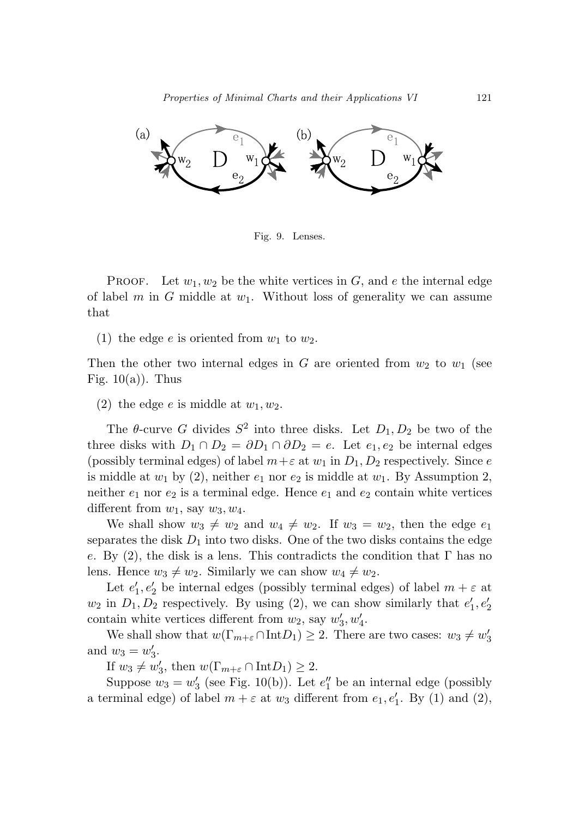

Fig. 9. Lenses.

PROOF. Let  $w_1, w_2$  be the white vertices in  $G$ , and  $e$  the internal edge of label *m* in *G* middle at *w*1. Without loss of generality we can assume that

(1) the edge  $e$  is oriented from  $w_1$  to  $w_2$ .

Then the other two internal edges in *G* are oriented from  $w_2$  to  $w_1$  (see Fig.  $10(a)$ ). Thus

(2) the edge *e* is middle at  $w_1, w_2$ .

The  $\theta$ -curve *G* divides  $S^2$  into three disks. Let  $D_1, D_2$  be two of the three disks with  $D_1 \cap D_2 = \partial D_1 \cap \partial D_2 = e$ . Let  $e_1, e_2$  be internal edges (possibly terminal edges) of label  $m + \varepsilon$  at  $w_1$  in  $D_1, D_2$  respectively. Since *e* is middle at  $w_1$  by (2), neither  $e_1$  nor  $e_2$  is middle at  $w_1$ . By Assumption 2, neither  $e_1$  nor  $e_2$  is a terminal edge. Hence  $e_1$  and  $e_2$  contain white vertices different from  $w_1$ , say  $w_3$ ,  $w_4$ .

We shall show  $w_3 \neq w_2$  and  $w_4 \neq w_2$ . If  $w_3 = w_2$ , then the edge  $e_1$ separates the disk  $D_1$  into two disks. One of the two disks contains the edge *e*. By (2), the disk is a lens. This contradicts the condition that Γ has no lens. Hence  $w_3 \neq w_2$ . Similarly we can show  $w_4 \neq w_2$ .

Let  $e'_1, e'_2$  be internal edges (possibly terminal edges) of label  $m + \varepsilon$  at  $w_2$  in  $D_1, D_2$  respectively. By using (2), we can show similarly that  $e'_1, e'_2$ contain white vertices different from  $w_2$ , say  $w'_3, w'_4$ .

We shall show that  $w(\Gamma_{m+\varepsilon} \cap \text{Int} D_1) \geq 2$ . There are two cases:  $w_3 \neq w'_3$ and  $w_3 = w'_3$ .

If  $w_3 \neq w'_3$ , then  $w(\Gamma_{m+\varepsilon} \cap \text{Int}D_1) \geq 2$ .

Suppose  $w_3 = w'_3$  (see Fig. 10(b)). Let  $e''_1$  be an internal edge (possibly a terminal edge) of label  $m + \varepsilon$  at  $w_3$  different from  $e_1, e'_1$ . By (1) and (2),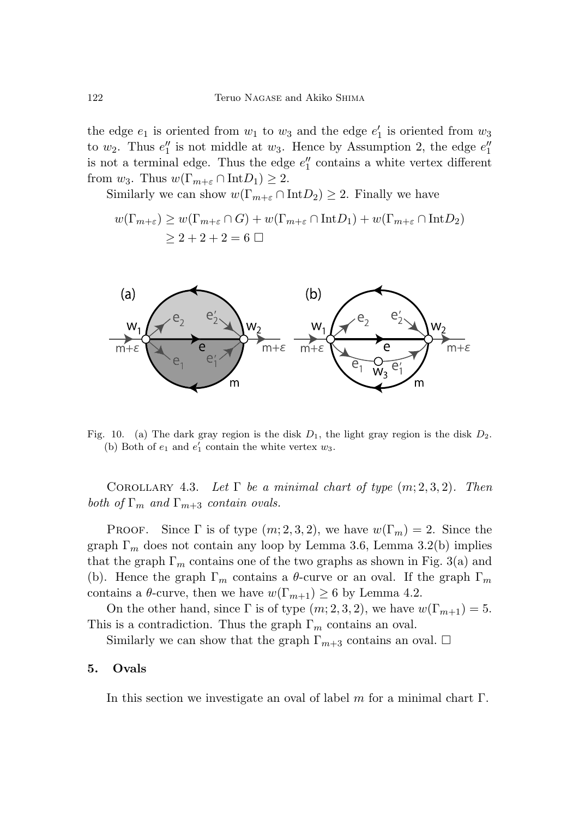the edge  $e_1$  is oriented from  $w_1$  to  $w_3$  and the edge  $e'_1$  is oriented from  $w_3$ to  $w_2$ . Thus  $e_1''$  is not middle at  $w_3$ . Hence by Assumption 2, the edge  $e_1''$ is not a terminal edge. Thus the edge *e* <sup>1</sup> contains a white vertex different from  $w_3$ . Thus  $w(\Gamma_{m+\varepsilon} \cap \text{Int} D_1) \geq 2$ .

Similarly we can show  $w(\Gamma_{m+\varepsilon} \cap \text{Int} D_2) \geq 2$ . Finally we have

$$
w(\Gamma_{m+\varepsilon}) \ge w(\Gamma_{m+\varepsilon} \cap G) + w(\Gamma_{m+\varepsilon} \cap \text{Int} D_1) + w(\Gamma_{m+\varepsilon} \cap \text{Int} D_2)
$$
  

$$
\ge 2 + 2 + 2 = 6 \square
$$



Fig. 10. (a) The dark gray region is the disk  $D_1$ , the light gray region is the disk  $D_2$ . (b) Both of  $e_1$  and  $e'_1$  contain the white vertex  $w_3$ .

COROLLARY 4.3. Let  $\Gamma$  be a minimal chart of type  $(m; 2, 3, 2)$ . Then both of  $\Gamma_m$  and  $\Gamma_{m+3}$  contain ovals.

Proof. Since  $\Gamma$  is of type  $(m; 2, 3, 2)$ , we have  $w(\Gamma_m) = 2$ . Since the graph  $\Gamma_m$  does not contain any loop by Lemma 3.6, Lemma 3.2(b) implies that the graph  $\Gamma_m$  contains one of the two graphs as shown in Fig. 3(a) and (b). Hence the graph  $\Gamma_m$  contains a  $\theta$ -curve or an oval. If the graph  $\Gamma_m$ contains a  $\theta$ -curve, then we have  $w(\Gamma_{m+1}) \geq 6$  by Lemma 4.2.

On the other hand, since  $\Gamma$  is of type  $(m; 2, 3, 2)$ , we have  $w(\Gamma_{m+1}) = 5$ . This is a contradiction. Thus the graph Γ*<sup>m</sup>* contains an oval.

Similarly we can show that the graph  $\Gamma_{m+3}$  contains an oval.  $\Box$ 

#### **5. Ovals**

In this section we investigate an oval of label *m* for a minimal chart Γ.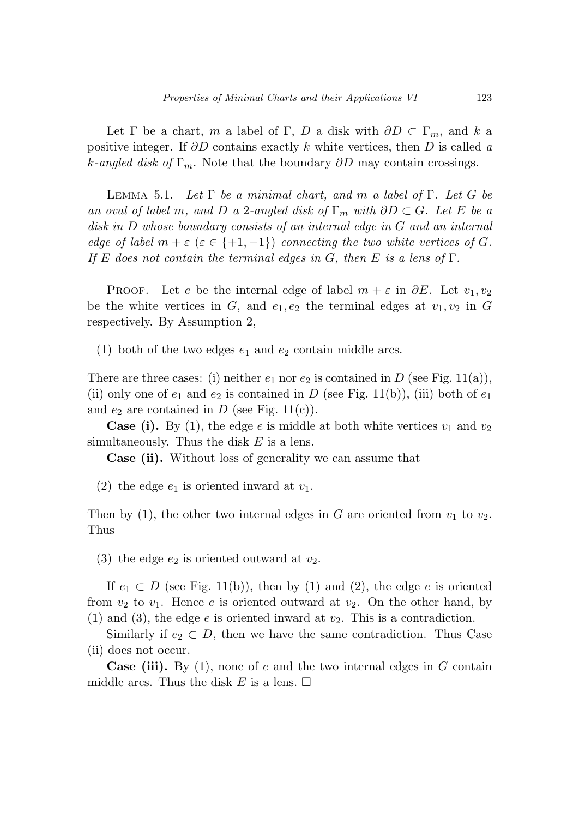Let  $\Gamma$  be a chart, *m* a label of  $\Gamma$ , *D* a disk with  $\partial D \subset \Gamma_m$ , and *k* a positive integer. If *∂D* contains exactly *k* white vertices, then *D* is called a *k*-angled disk of  $\Gamma_m$ . Note that the boundary  $\partial D$  may contain crossings.

Lemma 5.1. Let Γ be a minimal chart, and *m* a label of Γ. Let *G* be an oval of label *m*, and *D* a 2-angled disk of  $\Gamma_m$  with  $\partial D \subset G$ . Let *E* be a disk in *D* whose boundary consists of an internal edge in *G* and an internal edge of label  $m + \varepsilon$  ( $\varepsilon \in \{+1, -1\}$ ) connecting the two white vertices of *G*. If *E* does not contain the terminal edges in *G*, then *E* is a lens of Γ.

PROOF. Let *e* be the internal edge of label  $m + \varepsilon$  in  $\partial E$ . Let  $v_1, v_2$ be the white vertices in *G*, and  $e_1, e_2$  the terminal edges at  $v_1, v_2$  in *G* respectively. By Assumption 2,

(1) both of the two edges  $e_1$  and  $e_2$  contain middle arcs.

There are three cases: (i) neither  $e_1$  nor  $e_2$  is contained in *D* (see Fig. 11(a)), (ii) only one of  $e_1$  and  $e_2$  is contained in *D* (see Fig. 11(b)), (iii) both of  $e_1$ and  $e_2$  are contained in  $D$  (see Fig. 11(c)).

**Case (i).** By (1), the edge *e* is middle at both white vertices  $v_1$  and  $v_2$ simultaneously. Thus the disk *E* is a lens.

**Case (ii).** Without loss of generality we can assume that

(2) the edge  $e_1$  is oriented inward at  $v_1$ .

Then by (1), the other two internal edges in  $G$  are oriented from  $v_1$  to  $v_2$ . Thus

(3) the edge  $e_2$  is oriented outward at  $v_2$ .

If  $e_1 \subset D$  (see Fig. 11(b)), then by (1) and (2), the edge *e* is oriented from  $v_2$  to  $v_1$ . Hence *e* is oriented outward at  $v_2$ . On the other hand, by (1) and (3), the edge  $e$  is oriented inward at  $v_2$ . This is a contradiction.

Similarly if  $e_2 \subset D$ , then we have the same contradiction. Thus Case (ii) does not occur.

**Case (iii).** By (1), none of *e* and the two internal edges in *G* contain middle arcs. Thus the disk  $E$  is a lens.  $\Box$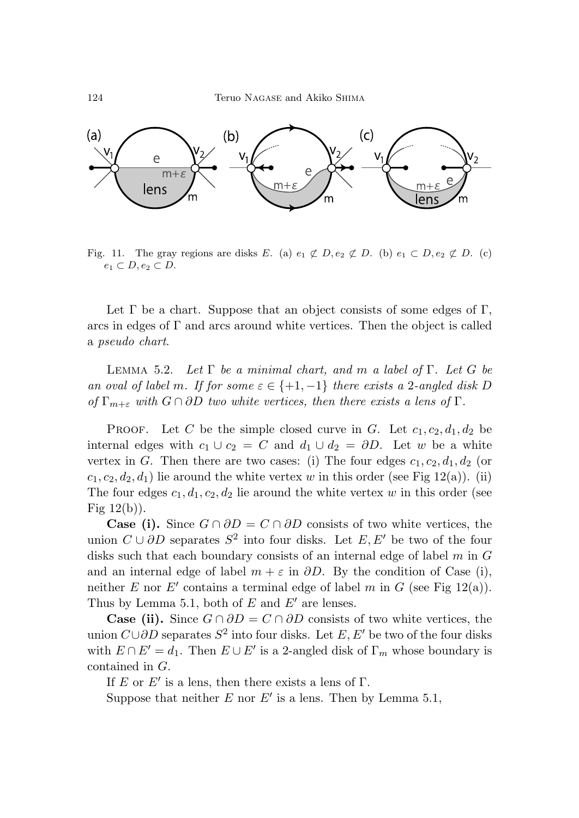

Fig. 11. The gray regions are disks E. (a)  $e_1 \not\subset D, e_2 \not\subset D$ . (b)  $e_1 \subset D, e_2 \not\subset D$ . (c)  $e_1 \subset D, e_2 \subset D.$ 

Let  $\Gamma$  be a chart. Suppose that an object consists of some edges of  $\Gamma$ , arcs in edges of  $\Gamma$  and arcs around white vertices. Then the object is called a pseudo chart.

Lemma 5.2. Let Γ be a minimal chart, and *m* a label of Γ. Let *G* be an oval of label *m*. If for some  $\varepsilon \in \{+1, -1\}$  there exists a 2-angled disk *D* of  $\Gamma_{m+\varepsilon}$  with  $G \cap \partial D$  two white vertices, then there exists a lens of  $\Gamma$ .

PROOF. Let *C* be the simple closed curve in *G*. Let  $c_1, c_2, d_1, d_2$  be internal edges with  $c_1 \cup c_2 = C$  and  $d_1 \cup d_2 = \partial D$ . Let *w* be a white vertex in *G*. Then there are two cases: (i) The four edges  $c_1, c_2, d_1, d_2$  (or  $c_1, c_2, d_2, d_1$ ) lie around the white vertex *w* in this order (see Fig 12(a)). (ii) The four edges  $c_1, d_1, c_2, d_2$  lie around the white vertex *w* in this order (see Fig  $12(b)$ ).

**Case (i).** Since  $G \cap \partial D = C \cap \partial D$  consists of two white vertices, the union  $C \cup \partial D$  separates  $S^2$  into four disks. Let  $E, E'$  be two of the four disks such that each boundary consists of an internal edge of label *m* in *G* and an internal edge of label  $m + \varepsilon$  in  $\partial D$ . By the condition of Case (i), neither *E* nor *E'* contains a terminal edge of label *m* in *G* (see Fig 12(a)). Thus by Lemma 5.1, both of  $E$  and  $E'$  are lenses.

**Case (ii).** Since  $G \cap \partial D = C \cap \partial D$  consists of two white vertices, the union  $C \cup \partial D$  separates  $S^2$  into four disks. Let *E*, *E'* be two of the four disks with  $E \cap E' = d_1$ . Then  $E \cup E'$  is a 2-angled disk of  $\Gamma_m$  whose boundary is contained in *G*.

If *E* or *E'* is a lens, then there exists a lens of  $\Gamma$ .

Suppose that neither  $E$  nor  $E'$  is a lens. Then by Lemma 5.1,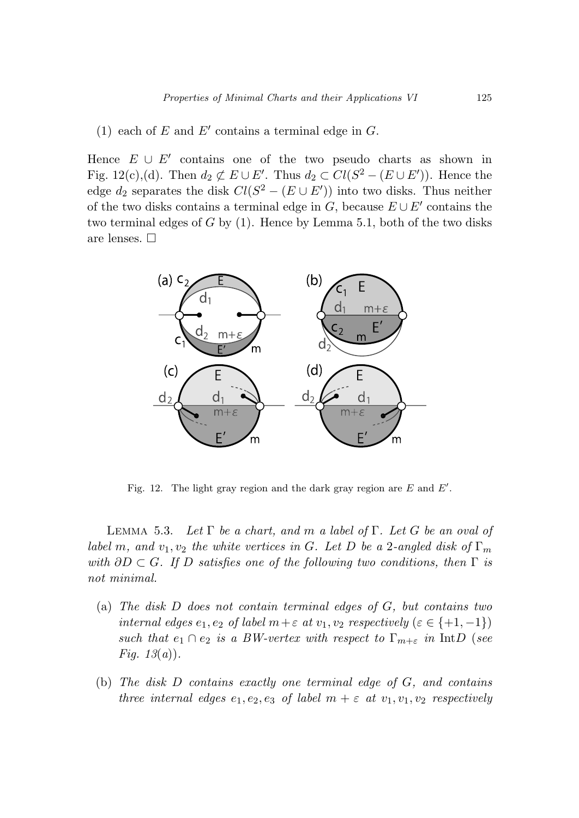### (1) each of  $E$  and  $E'$  contains a terminal edge in  $G$ .

Hence  $E \cup E'$  contains one of the two pseudo charts as shown in Fig. 12(c),(d). Then  $d_2 \not\subset E \cup E'$ . Thus  $d_2 \subset Cl(S^2 - (E \cup E'))$ . Hence the edge  $d_2$  separates the disk  $Cl(S^2 - (E \cup E'))$  into two disks. Thus neither of the two disks contains a terminal edge in  $G$ , because  $E \cup E'$  contains the two terminal edges of *G* by (1). Hence by Lemma 5.1, both of the two disks are lenses.  $\Box$ 



Fig. 12. The light gray region and the dark gray region are  $E$  and  $E'$ .

Lemma 5.3. Let Γ be a chart, and *m* a label of Γ. Let *G* be an oval of label *m*, and  $v_1, v_2$  the white vertices in *G*. Let *D* be a 2-angled disk of  $\Gamma_m$ with  $\partial D \subset G$ . If  $D$  satisfies one of the following two conditions, then  $\Gamma$  is not minimal.

- (a) The disk *D* does not contain terminal edges of *G*, but contains two internal edges  $e_1, e_2$  of label  $m + \varepsilon$  at  $v_1, v_2$  respectively ( $\varepsilon \in \{+1, -1\}$ ) such that  $e_1 \cap e_2$  is a BW-vertex with respect to  $\Gamma_{m+\varepsilon}$  in IntD (see *Fig.*  $13(a)$ .
- (b) The disk *D* contains exactly one terminal edge of *G*, and contains three internal edges  $e_1, e_2, e_3$  of label  $m + \varepsilon$  at  $v_1, v_1, v_2$  respectively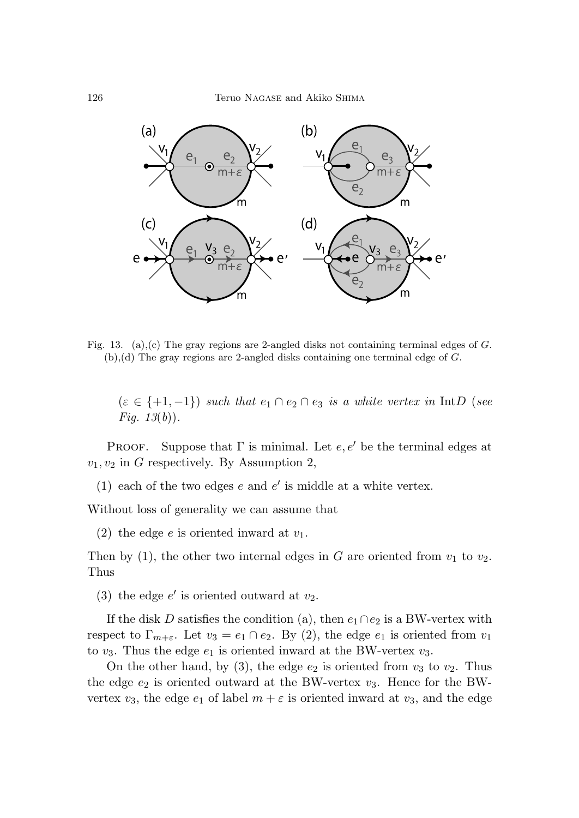

Fig. 13. (a),(c) The gray regions are 2-angled disks not containing terminal edges of  $G$ . (b),(d) The gray regions are 2-angled disks containing one terminal edge of G.

 $(\varepsilon \in \{+1, -1\})$  such that  $e_1 \cap e_2 \cap e_3$  is a white vertex in IntD (see *Fig.*  $13(b)$ .

Proof. Suppose that  $\Gamma$  is minimal. Let  $e, e'$  be the terminal edges at  $v_1, v_2$  in *G* respectively. By Assumption 2,

(1) each of the two edges  $e$  and  $e'$  is middle at a white vertex.

Without loss of generality we can assume that

(2) the edge *e* is oriented inward at *v*1.

Then by (1), the other two internal edges in  $G$  are oriented from  $v_1$  to  $v_2$ . Thus

(3) the edge  $e'$  is oriented outward at  $v_2$ .

If the disk *D* satisfies the condition (a), then  $e_1 \cap e_2$  is a BW-vertex with respect to  $\Gamma_{m+\varepsilon}$ . Let  $v_3 = e_1 \cap e_2$ . By (2), the edge  $e_1$  is oriented from  $v_1$ to  $v_3$ . Thus the edge  $e_1$  is oriented inward at the BW-vertex  $v_3$ .

On the other hand, by (3), the edge  $e_2$  is oriented from  $v_3$  to  $v_2$ . Thus the edge *e*<sup>2</sup> is oriented outward at the BW-vertex *v*3. Hence for the BWvertex  $v_3$ , the edge  $e_1$  of label  $m + \varepsilon$  is oriented inward at  $v_3$ , and the edge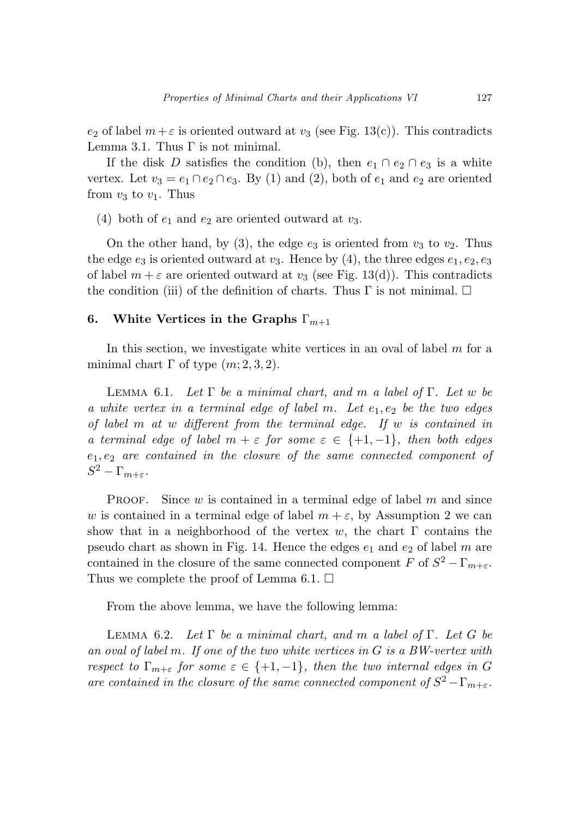*e*<sub>2</sub> of label  $m + \varepsilon$  is oriented outward at *v*<sub>3</sub> (see Fig. 13(c)). This contradicts Lemma 3.1. Thus  $\Gamma$  is not minimal.

If the disk *D* satisfies the condition (b), then  $e_1 \cap e_2 \cap e_3$  is a white vertex. Let  $v_3 = e_1 \cap e_2 \cap e_3$ . By (1) and (2), both of  $e_1$  and  $e_2$  are oriented from  $v_3$  to  $v_1$ . Thus

(4) both of  $e_1$  and  $e_2$  are oriented outward at  $v_3$ .

On the other hand, by (3), the edge  $e_3$  is oriented from  $v_3$  to  $v_2$ . Thus the edge  $e_3$  is oriented outward at  $v_3$ . Hence by (4), the three edges  $e_1, e_2, e_3$ of label  $m + \varepsilon$  are oriented outward at  $v_3$  (see Fig. 13(d)). This contradicts the condition (iii) of the definition of charts. Thus  $\Gamma$  is not minimal.  $\Box$ 

### **6. White Vertices in the Graphs** Γ*m*+1

In this section, we investigate white vertices in an oval of label *m* for a minimal chart  $\Gamma$  of type  $(m; 2, 3, 2)$ .

Lemma 6.1. Let Γ be a minimal chart, and *m* a label of Γ. Let *w* be a white vertex in a terminal edge of label *m*. Let *e*1*, e*<sup>2</sup> be the two edges of label *m* at *w* different from the terminal edge. If *w* is contained in a terminal edge of label  $m + \varepsilon$  for some  $\varepsilon \in \{+1, -1\}$ , then both edges *e*1*, e*<sup>2</sup> are contained in the closure of the same connected component of *S*<sup>2</sup> – Γ<sub>*m*+*ε*</sub>.

PROOF. Since *w* is contained in a terminal edge of label *m* and since *w* is contained in a terminal edge of label  $m + \varepsilon$ , by Assumption 2 we can show that in a neighborhood of the vertex  $w$ , the chart  $\Gamma$  contains the pseudo chart as shown in Fig. 14. Hence the edges  $e_1$  and  $e_2$  of label m are contained in the closure of the same connected component *F* of  $S^2 - \Gamma_{m+\varepsilon}$ . Thus we complete the proof of Lemma 6.1.  $\Box$ 

From the above lemma, we have the following lemma:

Lemma 6.2. Let Γ be a minimal chart, and *m* a label of Γ. Let *G* be an oval of label *m*. If one of the two white vertices in *G* is a BW-vertex with respect to  $\Gamma_{m+\varepsilon}$  for some  $\varepsilon \in \{+1,-1\}$ , then the two internal edges in G are contained in the closure of the same connected component of  $S^2 - \Gamma_{m+\varepsilon}$ .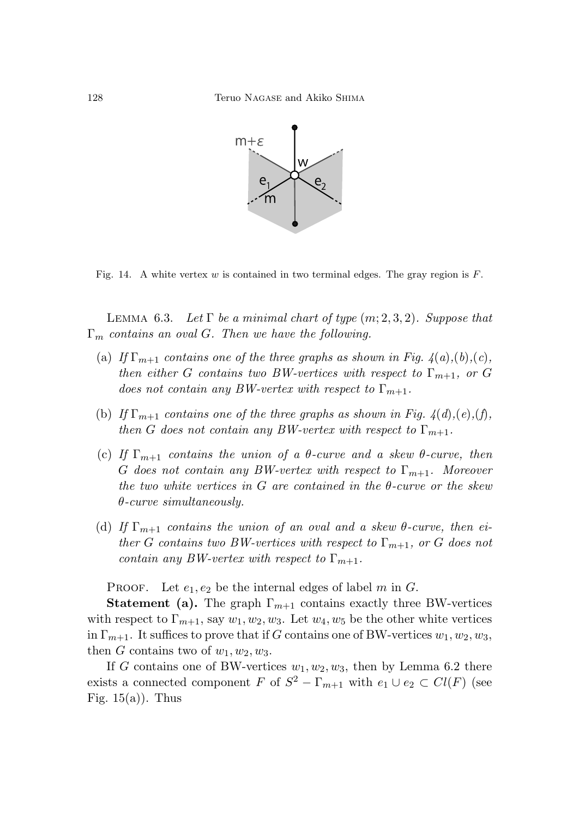

Fig. 14. A white vertex  $w$  is contained in two terminal edges. The gray region is  $F$ .

LEMMA 6.3. Let  $\Gamma$  be a minimal chart of type  $(m; 2, 3, 2)$ . Suppose that Γ*<sup>m</sup>* contains an oval *G*. Then we have the following.

- (a) If  $\Gamma_{m+1}$  contains one of the three graphs as shown in Fig.  $4(a)$ ,  $(b)$ ,  $(c)$ , then either *G* contains two BW-vertices with respect to  $\Gamma_{m+1}$ , or *G* does not contain any BW-vertex with respect to  $\Gamma_{m+1}$ .
- (b) If  $\Gamma_{m+1}$  contains one of the three graphs as shown in Fig.  $4(d),(e),(f)$ , then *G* does not contain any *BW*-vertex with respect to  $\Gamma_{m+1}$ .
- (c) If  $\Gamma_{m+1}$  contains the union of a  $\theta$ -curve and a skew  $\theta$ -curve, then *G* does not contain any BW-vertex with respect to Γ*m*+1. Moreover the two white vertices in *G* are contained in the *θ*-curve or the skew *θ*-curve simultaneously.
- (d) If  $\Gamma_{m+1}$  contains the union of an oval and a skew  $\theta$ -curve, then either *G* contains two BW-vertices with respect to  $\Gamma_{m+1}$ , or *G* does not contain any BW-vertex with respect to  $\Gamma_{m+1}$ .

PROOF. Let  $e_1, e_2$  be the internal edges of label  $m$  in  $G$ .

**Statement (a).** The graph  $\Gamma_{m+1}$  contains exactly three BW-vertices with respect to  $\Gamma_{m+1}$ , say  $w_1, w_2, w_3$ . Let  $w_4, w_5$  be the other white vertices in  $\Gamma_{m+1}$ . It suffices to prove that if *G* contains one of BW-vertices  $w_1, w_2, w_3$ , then *G* contains two of  $w_1, w_2, w_3$ .

If *G* contains one of BW-vertices  $w_1, w_2, w_3$ , then by Lemma 6.2 there exists a connected component *F* of  $S^2 - \Gamma_{m+1}$  with  $e_1 \cup e_2 \subset Cl(F)$  (see Fig.  $15(a)$ ). Thus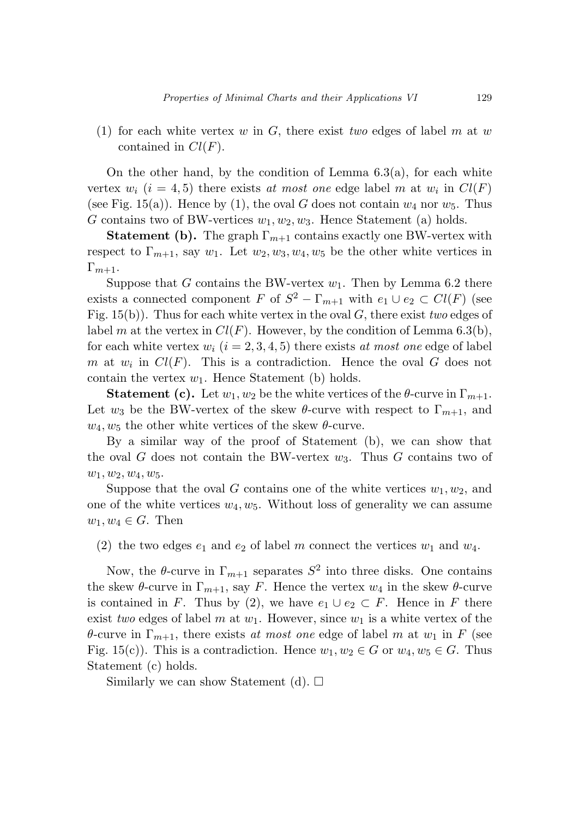(1) for each white vertex *w* in *G*, there exist two edges of label *m* at *w* contained in *Cl*(*F*).

On the other hand, by the condition of Lemma  $6.3(a)$ , for each white vertex  $w_i$  ( $i = 4, 5$ ) there exists at most one edge label m at  $w_i$  in  $Cl(F)$ (see Fig. 15(a)). Hence by (1), the oval *G* does not contain  $w_4$  nor  $w_5$ . Thus *G* contains two of BW-vertices *w*1*, w*2*, w*3. Hence Statement (a) holds.

**Statement (b).** The graph  $\Gamma_{m+1}$  contains exactly one BW-vertex with respect to  $\Gamma_{m+1}$ , say  $w_1$ . Let  $w_2, w_3, w_4, w_5$  be the other white vertices in  $\Gamma_{m+1}$ .

Suppose that *G* contains the BW-vertex  $w_1$ . Then by Lemma 6.2 there exists a connected component *F* of  $S^2 - \Gamma_{m+1}$  with  $e_1 \cup e_2 \subset Cl(F)$  (see Fig. 15(b)). Thus for each white vertex in the oval *G*, there exist two edges of label *m* at the vertex in  $Cl(F)$ . However, by the condition of Lemma 6.3(b), for each white vertex  $w_i$  ( $i = 2, 3, 4, 5$ ) there exists at most one edge of label *m* at  $w_i$  in  $Cl(F)$ . This is a contradiction. Hence the oval *G* does not contain the vertex  $w_1$ . Hence Statement (b) holds.

**Statement (c).** Let  $w_1, w_2$  be the white vertices of the  $\theta$ -curve in  $\Gamma_{m+1}$ . Let  $w_3$  be the BW-vertex of the skew  $\theta$ -curve with respect to  $\Gamma_{m+1}$ , and  $w_4, w_5$  the other white vertices of the skew  $\theta$ -curve.

By a similar way of the proof of Statement (b), we can show that the oval *G* does not contain the BW-vertex *w*3. Thus *G* contains two of *w*1*, w*2*, w*4*, w*5.

Suppose that the oval *G* contains one of the white vertices  $w_1, w_2$ , and one of the white vertices  $w_4, w_5$ . Without loss of generality we can assume  $w_1, w_4 \in G$ . Then

(2) the two edges  $e_1$  and  $e_2$  of label *m* connect the vertices  $w_1$  and  $w_4$ .

Now, the  $\theta$ -curve in  $\Gamma_{m+1}$  separates  $S^2$  into three disks. One contains the skew  $\theta$ -curve in  $\Gamma_{m+1}$ , say *F*. Hence the vertex  $w_4$  in the skew  $\theta$ -curve is contained in *F*. Thus by (2), we have  $e_1 \cup e_2 \subset F$ . Hence in *F* there exist two edges of label *m* at  $w_1$ . However, since  $w_1$  is a white vertex of the *θ*-curve in  $\Gamma_{m+1}$ , there exists at most one edge of label *m* at  $w_1$  in *F* (see Fig. 15(c)). This is a contradiction. Hence  $w_1, w_2 \in G$  or  $w_4, w_5 \in G$ . Thus Statement (c) holds.

Similarly we can show Statement (d).  $\square$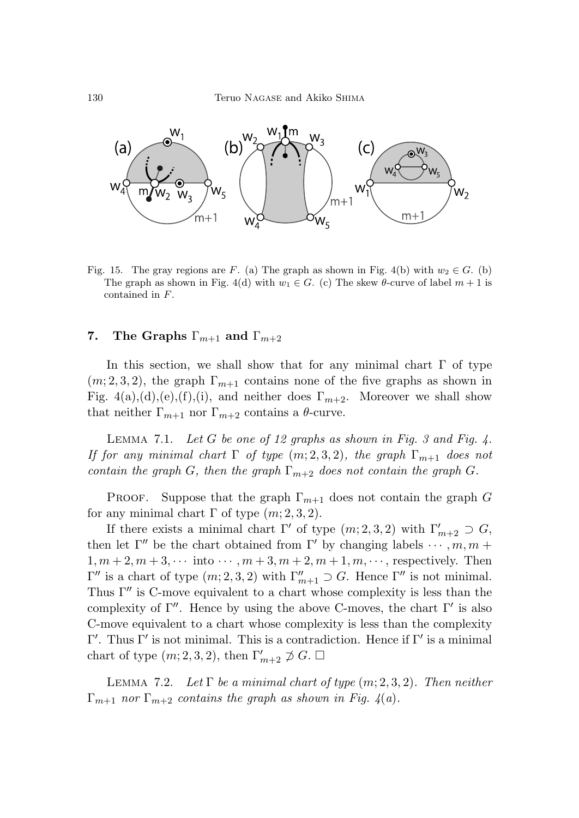

Fig. 15. The gray regions are F. (a) The graph as shown in Fig. 4(b) with  $w_2 \in G$ . (b) The graph as shown in Fig. 4(d) with  $w_1 \in G$ . (c) The skew  $\theta$ -curve of label  $m+1$  is contained in F.

### **7.** The Graphs  $\Gamma_{m+1}$  and  $\Gamma_{m+2}$

In this section, we shall show that for any minimal chart  $\Gamma$  of type  $(m, 2, 3, 2)$ , the graph  $\Gamma_{m+1}$  contains none of the five graphs as shown in Fig.  $4(a),(d),(e),(f),(i)$ , and neither does  $\Gamma_{m+2}$ . Moreover we shall show that neither  $\Gamma_{m+1}$  nor  $\Gamma_{m+2}$  contains a  $\theta$ -curve.

LEMMA 7.1. Let  $G$  be one of 12 graphs as shown in Fig. 3 and Fig. 4. If for any minimal chart  $\Gamma$  of type  $(m; 2, 3, 2)$ , the graph  $\Gamma_{m+1}$  does not contain the graph *G*, then the graph  $\Gamma_{m+2}$  does not contain the graph *G*.

PROOF. Suppose that the graph  $\Gamma_{m+1}$  does not contain the graph *G* for any minimal chart  $\Gamma$  of type  $(m; 2, 3, 2)$ .

If there exists a minimal chart  $\Gamma'$  of type  $(m; 2, 3, 2)$  with  $\Gamma'_{m+2} \supset G$ , then let  $\Gamma''$  be the chart obtained from  $\Gamma'$  by changing labels  $\cdots$ ,  $m, m$  +  $1, m+2, m+3, \cdots$  into  $\cdots, m+3, m+2, m+1, m, \cdots$ , respectively. Then  $Γ''$  is a chart of type  $(m; 2, 3, 2)$  with  $Γ''_{m+1}$  ⊃ *G*. Hence Γ'' is not minimal. Thus  $\Gamma''$  is C-move equivalent to a chart whose complexity is less than the complexity of  $\Gamma''$ . Hence by using the above C-moves, the chart  $\Gamma'$  is also C-move equivalent to a chart whose complexity is less than the complexity  $Γ'$ . Thus Γ' is not minimal. This is a contradiction. Hence if Γ' is a minimal chart of type  $(m; 2, 3, 2)$ , then  $\Gamma'_{m+2} \not\supset G$ .  $\Box$ 

LEMMA 7.2. Let  $\Gamma$  be a minimal chart of type  $(m; 2, 3, 2)$ . Then neither  $\Gamma_{m+1}$  nor  $\Gamma_{m+2}$  contains the graph as shown in Fig. 4(a).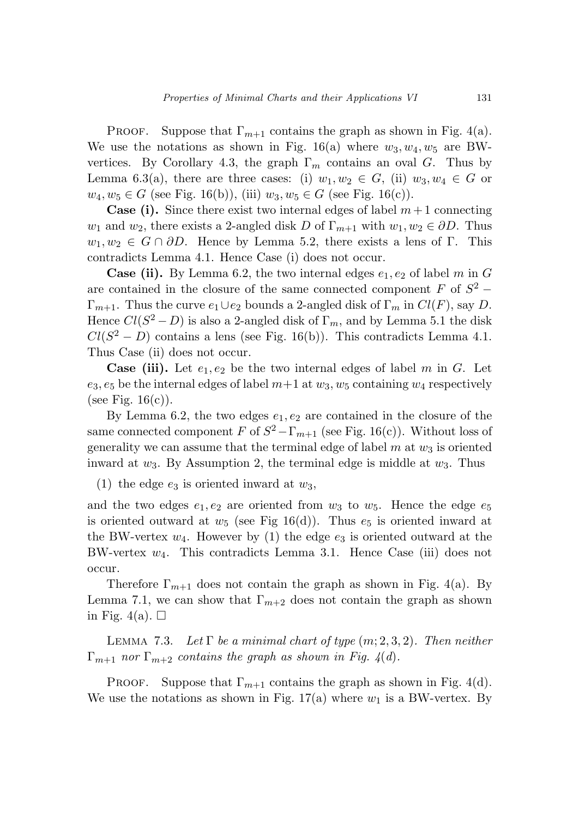Proof. Suppose that  $\Gamma_{m+1}$  contains the graph as shown in Fig. 4(a). We use the notations as shown in Fig. 16(a) where  $w_3, w_4, w_5$  are BWvertices. By Corollary 4.3, the graph  $\Gamma_m$  contains an oval *G*. Thus by Lemma 6.3(a), there are three cases: (i)  $w_1, w_2 \in G$ , (ii)  $w_3, w_4 \in G$  or *w*<sub>4</sub>*, w*<sub>5</sub> ∈ *G* (see Fig. 16(b)), (iii) *w*<sub>3</sub>*, w*<sub>5</sub> ∈ *G* (see Fig. 16(c)).

**Case (i).** Since there exist two internal edges of label  $m+1$  connecting *w*<sub>1</sub> and *w*<sub>2</sub>, there exists a 2-angled disk *D* of  $\Gamma_{m+1}$  with  $w_1, w_2 \in \partial D$ . Thus  $w_1, w_2 \in G \cap \partial D$ . Hence by Lemma 5.2, there exists a lens of Γ. This contradicts Lemma 4.1. Hence Case (i) does not occur.

**Case (ii).** By Lemma 6.2, the two internal edges  $e_1, e_2$  of label *m* in *G* are contained in the closure of the same connected component  $F$  of  $S^2$  − Γ*m*+1. Thus the curve *e*1∪*e*<sup>2</sup> bounds a 2-angled disk of Γ*<sup>m</sup>* in *Cl*(*F*), say *D*. Hence  $Cl(S^2 - D)$  is also a 2-angled disk of  $\Gamma_m$ , and by Lemma 5.1 the disk  $Cl(S^2 - D)$  contains a lens (see Fig. 16(b)). This contradicts Lemma 4.1. Thus Case (ii) does not occur.

**Case (iii).** Let  $e_1, e_2$  be the two internal edges of label *m* in *G*. Let  $e_3, e_5$  be the internal edges of label  $m+1$  at  $w_3, w_5$  containing  $w_4$  respectively (see Fig.  $16(c)$ ).

By Lemma 6.2, the two edges  $e_1, e_2$  are contained in the closure of the same connected component *F* of  $S^2 - \Gamma_{m+1}$  (see Fig. 16(c)). Without loss of generality we can assume that the terminal edge of label  $m$  at  $w_3$  is oriented inward at *w*3. By Assumption 2, the terminal edge is middle at *w*3. Thus

(1) the edge  $e_3$  is oriented inward at  $w_3$ ,

and the two edges  $e_1, e_2$  are oriented from  $w_3$  to  $w_5$ . Hence the edge  $e_5$ is oriented outward at  $w_5$  (see Fig 16(d)). Thus  $e_5$  is oriented inward at the BW-vertex  $w_4$ . However by (1) the edge  $e_3$  is oriented outward at the BW-vertex *w*4. This contradicts Lemma 3.1. Hence Case (iii) does not occur.

Therefore  $\Gamma_{m+1}$  does not contain the graph as shown in Fig. 4(a). By Lemma 7.1, we can show that  $\Gamma_{m+2}$  does not contain the graph as shown in Fig. 4(a).  $\square$ 

LEMMA 7.3. Let  $\Gamma$  be a minimal chart of type  $(m; 2, 3, 2)$ . Then neither  $\Gamma_{m+1}$  nor  $\Gamma_{m+2}$  contains the graph as shown in Fig. 4(d).

Proof. Suppose that  $\Gamma_{m+1}$  contains the graph as shown in Fig. 4(d). We use the notations as shown in Fig.  $17(a)$  where  $w_1$  is a BW-vertex. By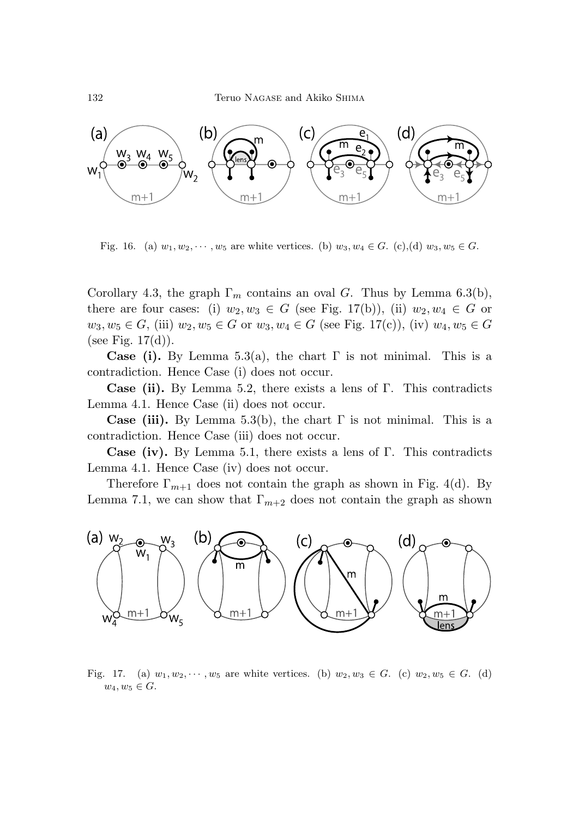

Fig. 16. (a)  $w_1, w_2, \dots, w_5$  are white vertices. (b)  $w_3, w_4 \in G$ . (c),(d)  $w_3, w_5 \in G$ .

Corollary 4.3, the graph  $\Gamma_m$  contains an oval *G*. Thus by Lemma 6.3(b), there are four cases: (i)  $w_2, w_3 \in G$  (see Fig. 17(b)), (ii)  $w_2, w_4 \in G$  or  $w_3, w_5 \in G$ , (iii)  $w_2, w_5 \in G$  or  $w_3, w_4 \in G$  (see Fig. 17(c)), (iv)  $w_4, w_5 \in G$ (see Fig.  $17(d)$ ).

**Case (i).** By Lemma 5.3(a), the chart  $\Gamma$  is not minimal. This is a contradiction. Hence Case (i) does not occur.

**Case (ii).** By Lemma 5.2, there exists a lens of Γ. This contradicts Lemma 4.1. Hence Case (ii) does not occur.

**Case (iii).** By Lemma 5.3(b), the chart  $\Gamma$  is not minimal. This is a contradiction. Hence Case (iii) does not occur.

**Case (iv).** By Lemma 5.1, there exists a lens of Γ. This contradicts Lemma 4.1. Hence Case (iv) does not occur.

Therefore  $\Gamma_{m+1}$  does not contain the graph as shown in Fig. 4(d). By Lemma 7.1, we can show that  $\Gamma_{m+2}$  does not contain the graph as shown



Fig. 17. (a)  $w_1, w_2, \dots, w_5$  are white vertices. (b)  $w_2, w_3 \in G$ . (c)  $w_2, w_5 \in G$ . (d)  $w_4, w_5 \in G$ .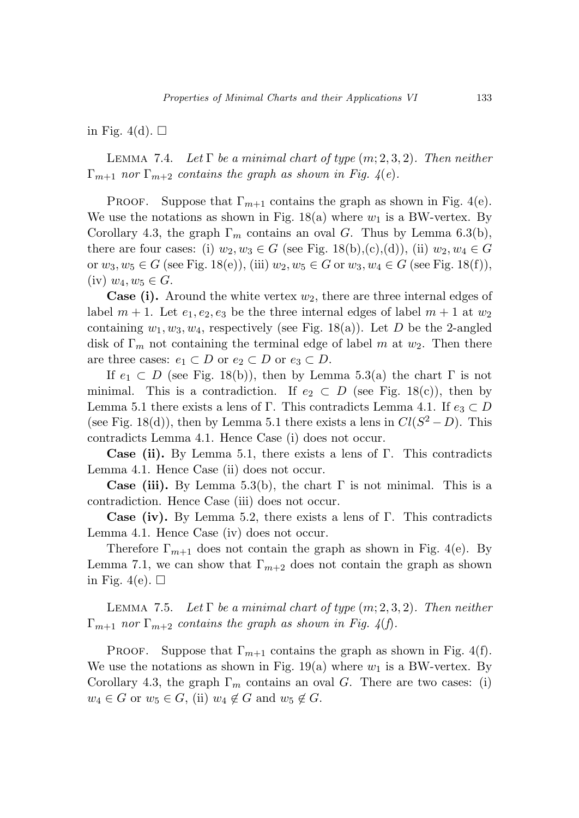in Fig. 4(d).  $\square$ 

LEMMA 7.4. Let  $\Gamma$  be a minimal chart of type  $(m; 2, 3, 2)$ . Then neither  $\Gamma_{m+1}$  nor  $\Gamma_{m+2}$  contains the graph as shown in Fig. 4(e).

Proof. Suppose that  $\Gamma_{m+1}$  contains the graph as shown in Fig. 4(e). We use the notations as shown in Fig.  $18(a)$  where  $w_1$  is a BW-vertex. By Corollary 4.3, the graph  $\Gamma_m$  contains an oval *G*. Thus by Lemma 6.3(b), there are four cases: (i)  $w_2, w_3 \in G$  (see Fig. 18(b),(c),(d)), (ii)  $w_2, w_4 \in G$ or *w*3*, w*<sup>5</sup> ∈ *G* (see Fig. 18(e)), (iii) *w*2*, w*<sup>5</sup> ∈ *G* or *w*3*, w*<sup>4</sup> ∈ *G* (see Fig. 18(f)),  $(iv)$   $w_4, w_5 \in G$ .

**Case (i).** Around the white vertex  $w_2$ , there are three internal edges of label  $m + 1$ . Let  $e_1, e_2, e_3$  be the three internal edges of label  $m + 1$  at  $w_2$ containing  $w_1, w_3, w_4$ , respectively (see Fig. 18(a)). Let *D* be the 2-angled disk of Γ*<sup>m</sup>* not containing the terminal edge of label *m* at *w*2. Then there are three cases:  $e_1 \subset D$  or  $e_2 \subset D$  or  $e_3 \subset D$ .

If  $e_1 \text{ }\subset D$  (see Fig. 18(b)), then by Lemma 5.3(a) the chart  $\Gamma$  is not minimal. This is a contradiction. If  $e_2 \subset D$  (see Fig. 18(c)), then by Lemma 5.1 there exists a lens of Γ. This contradicts Lemma 4.1. If  $e_3 \subset D$ (see Fig. 18(d)), then by Lemma 5.1 there exists a lens in  $Cl(S^2 - D)$ . This contradicts Lemma 4.1. Hence Case (i) does not occur.

**Case (ii).** By Lemma 5.1, there exists a lens of Γ. This contradicts Lemma 4.1. Hence Case (ii) does not occur.

**Case (iii).** By Lemma 5.3(b), the chart  $\Gamma$  is not minimal. This is a contradiction. Hence Case (iii) does not occur.

**Case (iv).** By Lemma 5.2, there exists a lens of Γ. This contradicts Lemma 4.1. Hence Case (iv) does not occur.

Therefore  $\Gamma_{m+1}$  does not contain the graph as shown in Fig. 4(e). By Lemma 7.1, we can show that  $\Gamma_{m+2}$  does not contain the graph as shown in Fig. 4(e).  $\Box$ 

LEMMA 7.5. Let  $\Gamma$  be a minimal chart of type  $(m; 2, 3, 2)$ . Then neither  $\Gamma_{m+1}$  nor  $\Gamma_{m+2}$  contains the graph as shown in Fig. 4(f).

PROOF. Suppose that  $\Gamma_{m+1}$  contains the graph as shown in Fig. 4(f). We use the notations as shown in Fig.  $19(a)$  where  $w_1$  is a BW-vertex. By Corollary 4.3, the graph  $\Gamma_m$  contains an oval *G*. There are two cases: (i)  $w_4 \in G$  or  $w_5 \in G$ , (ii)  $w_4 \notin G$  and  $w_5 \notin G$ .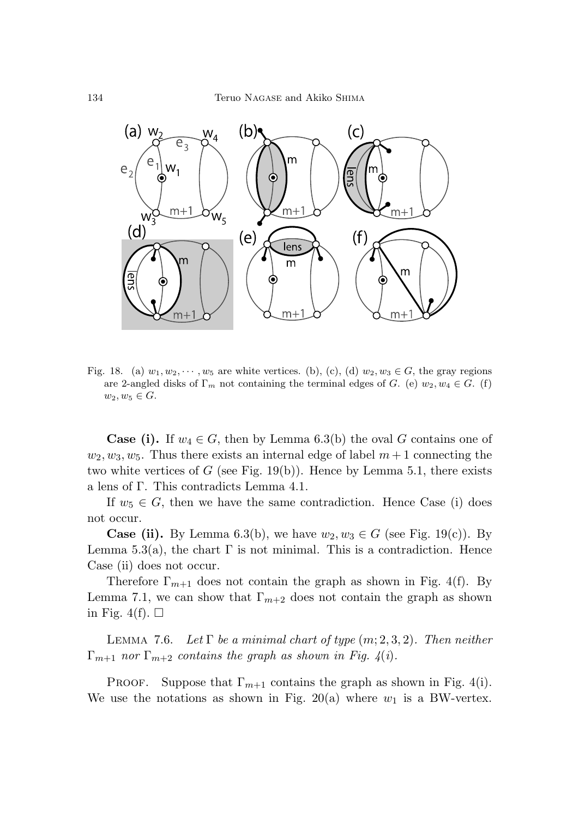

Fig. 18. (a)  $w_1, w_2, \dots, w_5$  are white vertices. (b), (c), (d)  $w_2, w_3 \in G$ , the gray regions are 2-angled disks of  $\Gamma_m$  not containing the terminal edges of G. (e)  $w_2, w_4 \in G$ . (f)  $w_2, w_5 \in G$ .

**Case (i).** If  $w_4 \in G$ , then by Lemma 6.3(b) the oval *G* contains one of  $w_2, w_3, w_5$ . Thus there exists an internal edge of label  $m+1$  connecting the two white vertices of  $G$  (see Fig. 19(b)). Hence by Lemma 5.1, there exists a lens of Γ. This contradicts Lemma 4.1.

If  $w_5 \in G$ , then we have the same contradiction. Hence Case (i) does not occur.

**Case (ii).** By Lemma 6.3(b), we have  $w_2, w_3 \in G$  (see Fig. 19(c)). By Lemma 5.3(a), the chart  $\Gamma$  is not minimal. This is a contradiction. Hence Case (ii) does not occur.

Therefore  $\Gamma_{m+1}$  does not contain the graph as shown in Fig. 4(f). By Lemma 7.1, we can show that  $\Gamma_{m+2}$  does not contain the graph as shown in Fig. 4(f).  $\Box$ 

LEMMA 7.6. Let  $\Gamma$  be a minimal chart of type  $(m; 2, 3, 2)$ . Then neither  $\Gamma_{m+1}$  nor  $\Gamma_{m+2}$  contains the graph as shown in Fig. 4(i).

Proof. Suppose that  $\Gamma_{m+1}$  contains the graph as shown in Fig. 4(i). We use the notations as shown in Fig. 20(a) where  $w_1$  is a BW-vertex.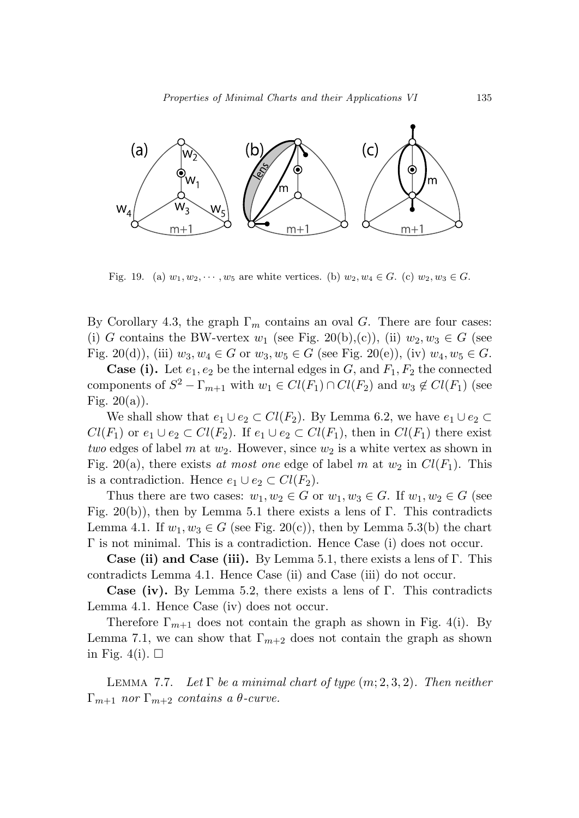

Fig. 19. (a)  $w_1, w_2, \dots, w_5$  are white vertices. (b)  $w_2, w_4 \in G$ . (c)  $w_2, w_3 \in G$ .

By Corollary 4.3, the graph  $\Gamma_m$  contains an oval *G*. There are four cases: (i) *G* contains the BW-vertex  $w_1$  (see Fig. 20(b),(c)), (ii)  $w_2, w_3 \in G$  (see Fig. 20(d)), (iii)  $w_3, w_4 \in G$  or  $w_3, w_5 \in G$  (see Fig. 20(e)), (iv)  $w_4, w_5 \in G$ .

**Case (i).** Let  $e_1, e_2$  be the internal edges in  $G$ , and  $F_1, F_2$  the connected components of  $S^2 - \Gamma_{m+1}$  with  $w_1 \in Cl(F_1) \cap Cl(F_2)$  and  $w_3 \notin Cl(F_1)$  (see Fig.  $20(a)$ ).

We shall show that  $e_1 \cup e_2 \subset Cl(F_2)$ . By Lemma 6.2, we have  $e_1 \cup e_2 \subset$ *Cl*(*F*<sub>1</sub>) or *e*<sub>1</sub> ∪ *e*<sub>2</sub> ⊂ *Cl*(*F*<sub>2</sub>). If *e*<sub>1</sub> ∪ *e*<sub>2</sub> ⊂ *Cl*(*F*<sub>1</sub>), then in *Cl*(*F*<sub>1</sub>) there exist two edges of label  $m$  at  $w_2$ . However, since  $w_2$  is a white vertex as shown in Fig. 20(a), there exists at most one edge of label m at  $w_2$  in  $Cl(F_1)$ . This is a contradiction. Hence  $e_1 \cup e_2 \subset Cl(F_2)$ .

Thus there are two cases:  $w_1, w_2 \in G$  or  $w_1, w_3 \in G$ . If  $w_1, w_2 \in G$  (see Fig. 20(b)), then by Lemma 5.1 there exists a lens of Γ. This contradicts Lemma 4.1. If  $w_1, w_3 \in G$  (see Fig. 20(c)), then by Lemma 5.3(b) the chart Γ is not minimal. This is a contradiction. Hence Case (i) does not occur.

**Case (ii) and Case (iii).** By Lemma 5.1, there exists a lens of Γ. This contradicts Lemma 4.1. Hence Case (ii) and Case (iii) do not occur.

**Case (iv).** By Lemma 5.2, there exists a lens of  $\Gamma$ . This contradicts Lemma 4.1. Hence Case (iv) does not occur.

Therefore  $\Gamma_{m+1}$  does not contain the graph as shown in Fig. 4(i). By Lemma 7.1, we can show that  $\Gamma_{m+2}$  does not contain the graph as shown in Fig. 4(i).  $\Box$ 

LEMMA 7.7. Let  $\Gamma$  be a minimal chart of type  $(m; 2, 3, 2)$ . Then neither Γ*m*+1 nor Γ*m*+2 contains a *θ*-curve.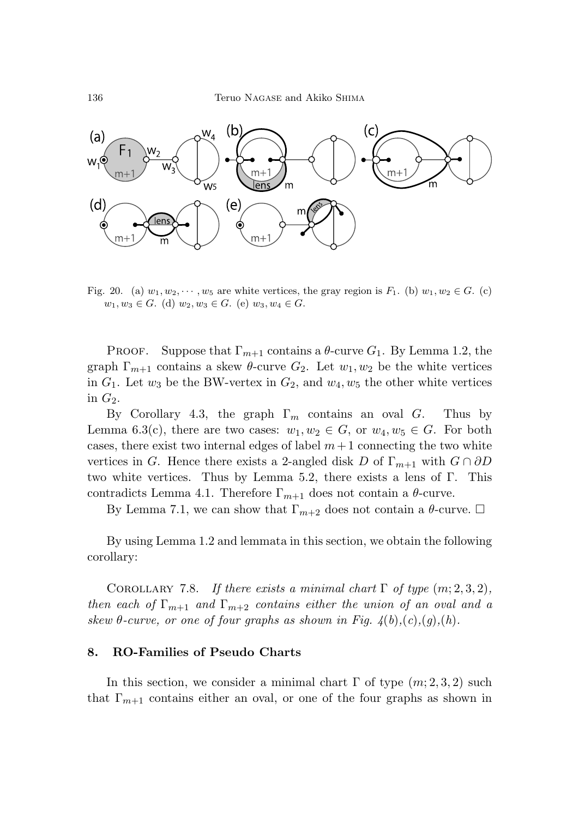

Fig. 20. (a)  $w_1, w_2, \dots, w_5$  are white vertices, the gray region is  $F_1$ . (b)  $w_1, w_2 \in G$ . (c)  $w_1, w_3 \in G$ . (d)  $w_2, w_3 \in G$ . (e)  $w_3, w_4 \in G$ .

Proof. Suppose that  $\Gamma_{m+1}$  contains a  $\theta$ -curve  $G_1$ . By Lemma 1.2, the graph  $\Gamma_{m+1}$  contains a skew  $\theta$ -curve  $G_2$ . Let  $w_1, w_2$  be the white vertices in  $G_1$ . Let  $w_3$  be the BW-vertex in  $G_2$ , and  $w_4, w_5$  the other white vertices in  $G_2$ .

By Corollary 4.3, the graph  $\Gamma_m$  contains an oval *G*. Thus by Lemma 6.3(c), there are two cases:  $w_1, w_2 \in G$ , or  $w_4, w_5 \in G$ . For both cases, there exist two internal edges of label  $m+1$  connecting the two white vertices in *G*. Hence there exists a 2-angled disk *D* of  $\Gamma_{m+1}$  with  $G \cap \partial D$ two white vertices. Thus by Lemma 5.2, there exists a lens of Γ. This contradicts Lemma 4.1. Therefore  $\Gamma_{m+1}$  does not contain a  $\theta$ -curve.

By Lemma 7.1, we can show that  $\Gamma_{m+2}$  does not contain a  $\theta$ -curve.  $\Box$ 

By using Lemma 1.2 and lemmata in this section, we obtain the following corollary:

COROLLARY 7.8. If there exists a minimal chart  $\Gamma$  of type  $(m; 2, 3, 2)$ , then each of  $\Gamma_{m+1}$  and  $\Gamma_{m+2}$  contains either the union of an oval and a skew  $\theta$ -curve, or one of four graphs as shown in Fig.  $\mathcal{A}(b),(c),(g),(h)$ .

### **8. RO-Families of Pseudo Charts**

In this section, we consider a minimal chart  $\Gamma$  of type  $(m; 2, 3, 2)$  such that  $\Gamma_{m+1}$  contains either an oval, or one of the four graphs as shown in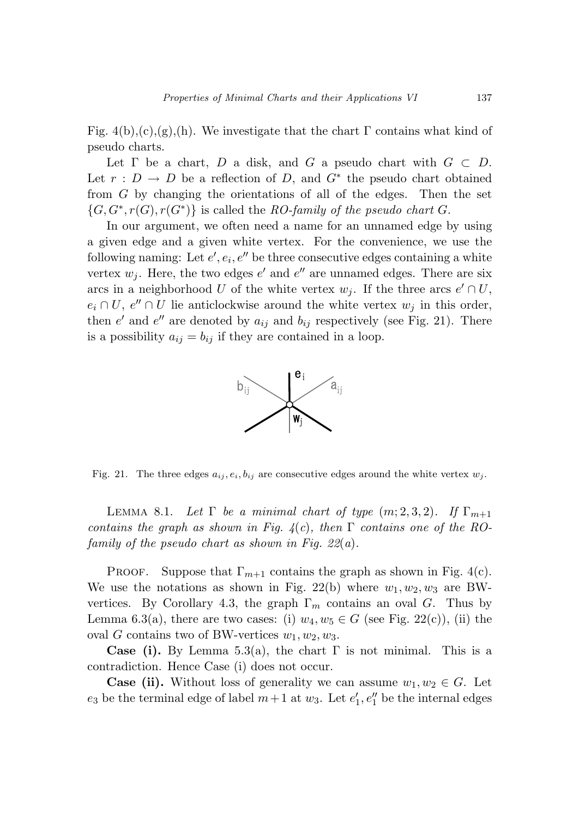Fig.  $4(b),(c),(g),(h)$ . We investigate that the chart  $\Gamma$  contains what kind of pseudo charts.

Let  $\Gamma$  be a chart,  $D$  a disk, and  $G$  a pseudo chart with  $G \subset D$ . Let  $r : D \to D$  be a reflection of D, and  $G^*$  the pseudo chart obtained from *G* by changing the orientations of all of the edges. Then the set  ${G, G^*, r(G), r(G^*)}$  is called the RO-family of the pseudo chart *G*.

In our argument, we often need a name for an unnamed edge by using a given edge and a given white vertex. For the convenience, we use the following naming: Let  $e', e_i, e''$  be three consecutive edges containing a white vertex  $w_j$ . Here, the two edges  $e'$  and  $e''$  are unnamed edges. There are six arcs in a neighborhood *U* of the white vertex  $w_j$ . If the three arcs  $e' \cap U$ ,  $e_i \cap U$ ,  $e'' \cap U$  lie anticlockwise around the white vertex  $w_j$  in this order, then  $e'$  and  $e''$  are denoted by  $a_{ij}$  and  $b_{ij}$  respectively (see Fig. 21). There is a possibility  $a_{ij} = b_{ij}$  if they are contained in a loop.



Fig. 21. The three edges  $a_{ij}, e_i, b_{ij}$  are consecutive edges around the white vertex  $w_j$ .

LEMMA 8.1. Let  $\Gamma$  be a minimal chart of type  $(m; 2, 3, 2)$ . If  $\Gamma_{m+1}$ contains the graph as shown in Fig.  $4(c)$ , then  $\Gamma$  contains one of the ROfamily of the pseudo chart as shown in Fig.  $22(a)$ .

Proof. Suppose that  $\Gamma_{m+1}$  contains the graph as shown in Fig. 4(c). We use the notations as shown in Fig. 22(b) where  $w_1, w_2, w_3$  are BWvertices. By Corollary 4.3, the graph  $\Gamma_m$  contains an oval *G*. Thus by Lemma 6.3(a), there are two cases: (i)  $w_4, w_5 \in G$  (see Fig. 22(c)), (ii) the oval *G* contains two of BW-vertices  $w_1, w_2, w_3$ .

**Case (i).** By Lemma 5.3(a), the chart  $\Gamma$  is not minimal. This is a contradiction. Hence Case (i) does not occur.

**Case (ii).** Without loss of generality we can assume  $w_1, w_2 \in G$ . Let  $e_3$  be the terminal edge of label  $m+1$  at  $w_3$ . Let  $e'_1, e''_1$  be the internal edges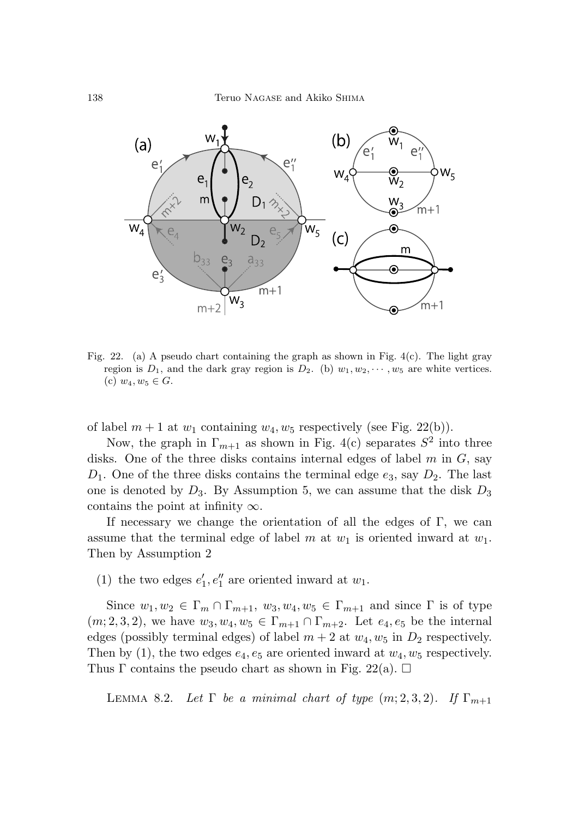

Fig. 22. (a) A pseudo chart containing the graph as shown in Fig. 4(c). The light gray region is  $D_1$ , and the dark gray region is  $D_2$ . (b)  $w_1, w_2, \dots, w_5$  are white vertices. (c)  $w_4, w_5 \in G$ .

of label  $m + 1$  at  $w_1$  containing  $w_4, w_5$  respectively (see Fig. 22(b)).

Now, the graph in  $\Gamma_{m+1}$  as shown in Fig. 4(c) separates  $S^2$  into three disks. One of the three disks contains internal edges of label *m* in *G*, say  $D_1$ . One of the three disks contains the terminal edge  $e_3$ , say  $D_2$ . The last one is denoted by *D*3. By Assumption 5, we can assume that the disk *D*<sup>3</sup> contains the point at infinity  $\infty$ .

If necessary we change the orientation of all the edges of  $\Gamma$ , we can assume that the terminal edge of label *m* at *w*<sup>1</sup> is oriented inward at *w*1. Then by Assumption 2

(1) the two edges  $e'_1, e''_1$  are oriented inward at  $w_1$ .

Since  $w_1, w_2 \in \Gamma_m \cap \Gamma_{m+1}, w_3, w_4, w_5 \in \Gamma_{m+1}$  and since  $\Gamma$  is of type  $(m, 2, 3, 2)$ , we have  $w_3, w_4, w_5 \in \Gamma_{m+1} \cap \Gamma_{m+2}$ . Let  $e_4, e_5$  be the internal edges (possibly terminal edges) of label  $m + 2$  at  $w_4$ ,  $w_5$  in  $D_2$  respectively. Then by (1), the two edges  $e_4, e_5$  are oriented inward at  $w_4, w_5$  respectively. Thus  $\Gamma$  contains the pseudo chart as shown in Fig. 22(a).  $\Box$ 

LEMMA 8.2. Let  $\Gamma$  be a minimal chart of type  $(m; 2, 3, 2)$ . If  $\Gamma_{m+1}$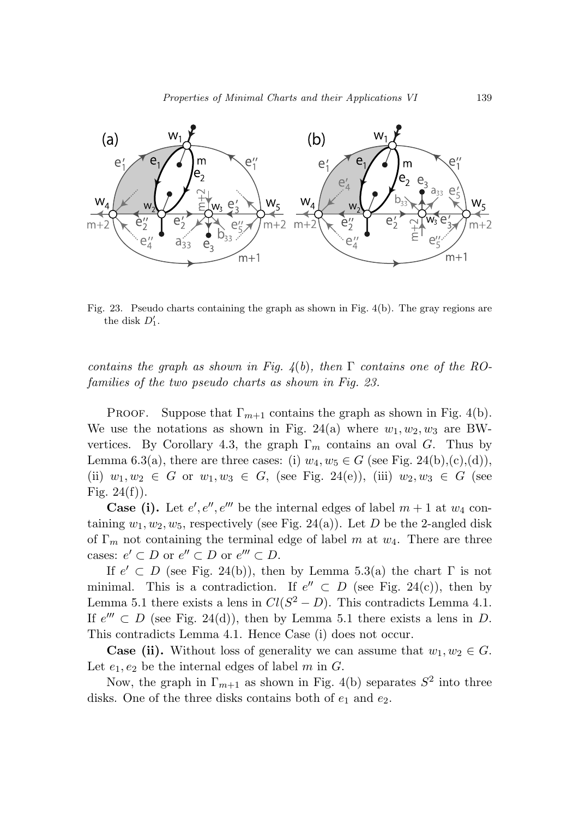

Fig. 23. Pseudo charts containing the graph as shown in Fig. 4(b). The gray regions are the disk  $D'_1$ .

contains the graph as shown in Fig.  $4(b)$ , then  $\Gamma$  contains one of the ROfamilies of the two pseudo charts as shown in Fig. 23.

Proof. Suppose that  $\Gamma_{m+1}$  contains the graph as shown in Fig. 4(b). We use the notations as shown in Fig. 24(a) where  $w_1, w_2, w_3$  are BWvertices. By Corollary 4.3, the graph  $\Gamma_m$  contains an oval *G*. Thus by Lemma 6.3(a), there are three cases: (i)  $w_4, w_5 \in G$  (see Fig. 24(b),(c),(d)), (ii)  $w_1, w_2 \in G$  or  $w_1, w_3 \in G$ , (see Fig. 24(e)), (iii)  $w_2, w_3 \in G$  (see Fig.  $24(f)$ ).

**Case (i).** Let  $e', e'', e'''$  be the internal edges of label  $m + 1$  at  $w_4$  containing  $w_1, w_2, w_5$ , respectively (see Fig. 24(a)). Let *D* be the 2-angled disk of Γ*<sup>m</sup>* not containing the terminal edge of label *m* at *w*4. There are three cases:  $e' \subset D$  or  $e'' \subset D$  or  $e''' \subset D$ .

If  $e' \subset D$  (see Fig. 24(b)), then by Lemma 5.3(a) the chart  $\Gamma$  is not minimal. This is a contradiction. If  $e'' \subset D$  (see Fig. 24(c)), then by Lemma 5.1 there exists a lens in  $Cl(S^2 - D)$ . This contradicts Lemma 4.1. If  $e''' \subset D$  (see Fig. 24(d)), then by Lemma 5.1 there exists a lens in *D*. This contradicts Lemma 4.1. Hence Case (i) does not occur.

**Case (ii).** Without loss of generality we can assume that  $w_1, w_2 \in G$ . Let  $e_1, e_2$  be the internal edges of label  $m$  in  $G$ .

Now, the graph in  $\Gamma_{m+1}$  as shown in Fig. 4(b) separates  $S^2$  into three disks. One of the three disks contains both of  $e_1$  and  $e_2$ .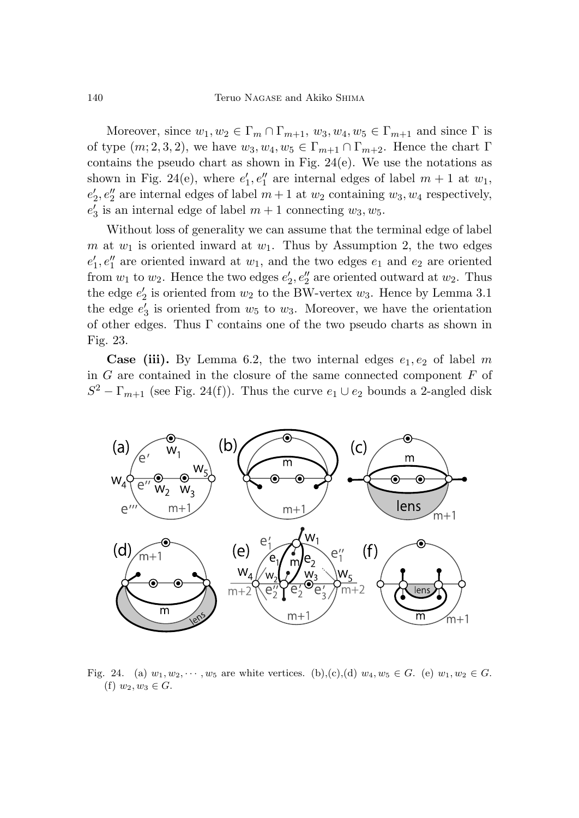Moreover, since  $w_1, w_2 \in \Gamma_m \cap \Gamma_{m+1}, w_3, w_4, w_5 \in \Gamma_{m+1}$  and since  $\Gamma$  is of type  $(m; 2, 3, 2)$ , we have  $w_3, w_4, w_5 \in \Gamma_{m+1} \cap \Gamma_{m+2}$ . Hence the chart  $\Gamma$ contains the pseudo chart as shown in Fig. 24(e). We use the notations as shown in Fig. 24(e), where  $e'_1, e''_1$  are internal edges of label  $m + 1$  at  $w_1$ ,  $e'_{2}$ ,  $e''_{2}$  are internal edges of label  $m+1$  at  $w_{2}$  containing  $w_{3}$ ,  $w_{4}$  respectively,  $e_3'$  is an internal edge of label  $m + 1$  connecting  $w_3, w_5$ .

Without loss of generality we can assume that the terminal edge of label *m* at  $w_1$  is oriented inward at  $w_1$ . Thus by Assumption 2, the two edges  $e'_{1}, e''_{1}$  are oriented inward at  $w_{1}$ , and the two edges  $e_{1}$  and  $e_{2}$  are oriented from  $w_1$  to  $w_2$ . Hence the two edges  $e'_2, e''_2$  are oriented outward at  $w_2$ . Thus the edge  $e'_2$  is oriented from  $w_2$  to the BW-vertex  $w_3$ . Hence by Lemma 3.1 the edge  $e_3'$  is oriented from  $w_5$  to  $w_3$ . Moreover, we have the orientation of other edges. Thus  $\Gamma$  contains one of the two pseudo charts as shown in Fig. 23.

**Case (iii).** By Lemma 6.2, the two internal edges  $e_1, e_2$  of label m in *G* are contained in the closure of the same connected component *F* of  $S^2 - \Gamma_{m+1}$  (see Fig. 24(f)). Thus the curve  $e_1 \cup e_2$  bounds a 2-angled disk



Fig. 24. (a)  $w_1, w_2, \dots, w_5$  are white vertices. (b),(c),(d)  $w_4, w_5 \in G$ . (e)  $w_1, w_2 \in G$ . (f)  $w_2, w_3 \in G$ .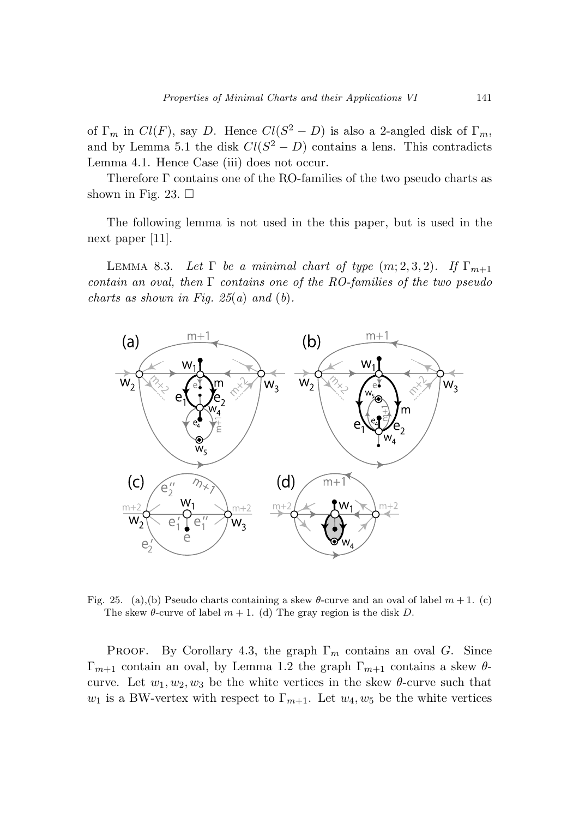of  $\Gamma_m$  in  $Cl(F)$ , say *D*. Hence  $Cl(S^2 - D)$  is also a 2-angled disk of  $\Gamma_m$ , and by Lemma 5.1 the disk  $Cl(S^2 - D)$  contains a lens. This contradicts Lemma 4.1. Hence Case (iii) does not occur.

Therefore Γ contains one of the RO-families of the two pseudo charts as shown in Fig. 23.  $\Box$ 

The following lemma is not used in the this paper, but is used in the next paper [11].

LEMMA 8.3. Let  $\Gamma$  be a minimal chart of type  $(m; 2, 3, 2)$ . If  $\Gamma_{m+1}$ contain an oval, then  $\Gamma$  contains one of the RO-families of the two pseudo charts as shown in Fig.  $25(a)$  and  $(b)$ .



Fig. 25. (a),(b) Pseudo charts containing a skew  $\theta$ -curve and an oval of label  $m + 1$ . (c) The skew  $\theta$ -curve of label  $m + 1$ . (d) The gray region is the disk D.

PROOF. By Corollary 4.3, the graph  $\Gamma_m$  contains an oval *G*. Since Γ*m*+1 contain an oval, by Lemma 1.2 the graph Γ*m*+1 contains a skew *θ*curve. Let  $w_1, w_2, w_3$  be the white vertices in the skew  $\theta$ -curve such that *w*<sub>1</sub> is a BW-vertex with respect to  $\Gamma_{m+1}$ . Let *w*<sub>4</sub>*, w*<sub>5</sub> be the white vertices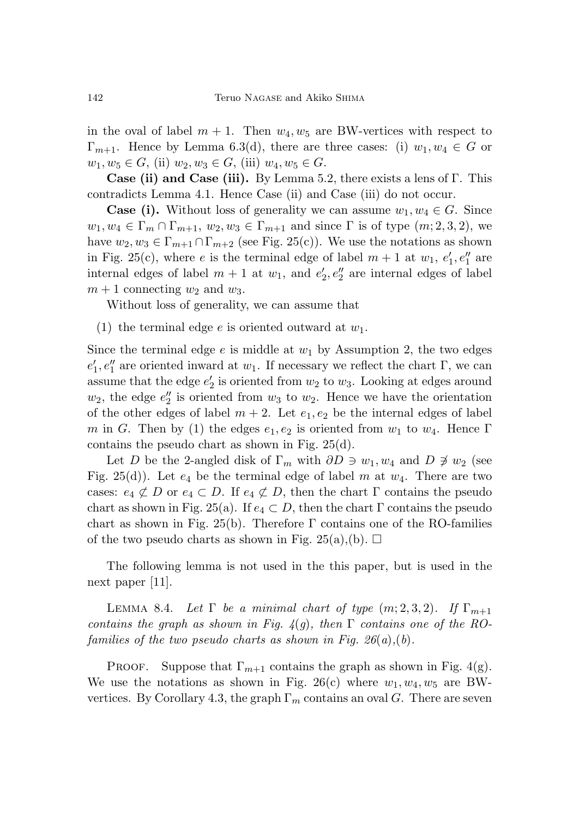in the oval of label  $m + 1$ . Then  $w_4, w_5$  are BW-vertices with respect to  $\Gamma_{m+1}$ . Hence by Lemma 6.3(d), there are three cases: (i)  $w_1, w_4 \in G$  or  $w_1, w_5 \in G$ , (ii)  $w_2, w_3 \in G$ , (iii)  $w_4, w_5 \in G$ .

**Case (ii) and Case (iii).** By Lemma 5.2, there exists a lens of Γ. This contradicts Lemma 4.1. Hence Case (ii) and Case (iii) do not occur.

**Case (i).** Without loss of generality we can assume  $w_1, w_4 \in G$ . Since  $w_1, w_4 \in \Gamma_m \cap \Gamma_{m+1}, w_2, w_3 \in \Gamma_{m+1}$  and since  $\Gamma$  is of type  $(m; 2, 3, 2)$ , we have  $w_2, w_3 \in \Gamma_{m+1} \cap \Gamma_{m+2}$  (see Fig. 25(c)). We use the notations as shown in Fig. 25(c), where *e* is the terminal edge of label  $m + 1$  at  $w_1$ ,  $e'_1$ ,  $e''_1$  are internal edges of label  $m + 1$  at  $w_1$ , and  $e'_2, e''_2$  are internal edges of label  $m + 1$  connecting  $w_2$  and  $w_3$ .

Without loss of generality, we can assume that

(1) the terminal edge *e* is oriented outward at *w*1.

Since the terminal edge  $e$  is middle at  $w_1$  by Assumption 2, the two edges  $e'_{1}, e''_{1}$  are oriented inward at *w*<sub>1</sub>. If necessary we reflect the chart Γ, we can assume that the edge  $e_2'$  is oriented from  $w_2$  to  $w_3$ . Looking at edges around  $w_2$ , the edge  $e_2''$  is oriented from  $w_3$  to  $w_2$ . Hence we have the orientation of the other edges of label  $m + 2$ . Let  $e_1, e_2$  be the internal edges of label *m* in *G*. Then by (1) the edges  $e_1, e_2$  is oriented from  $w_1$  to  $w_4$ . Hence Γ contains the pseudo chart as shown in Fig. 25(d).

Let *D* be the 2-angled disk of  $\Gamma_m$  with  $\partial D \ni w_1, w_4$  and  $D \not\ni w_2$  (see Fig. 25(d)). Let  $e_4$  be the terminal edge of label m at  $w_4$ . There are two cases:  $e_4 \not\subset D$  or  $e_4 \subset D$ . If  $e_4 \not\subset D$ , then the chart  $\Gamma$  contains the pseudo chart as shown in Fig. 25(a). If  $e_4 \subset D$ , then the chart Γ contains the pseudo chart as shown in Fig. 25(b). Therefore  $\Gamma$  contains one of the RO-families of the two pseudo charts as shown in Fig. 25(a),(b).  $\Box$ 

The following lemma is not used in the this paper, but is used in the next paper [11].

LEMMA 8.4. Let  $\Gamma$  be a minimal chart of type  $(m; 2, 3, 2)$ . If  $\Gamma_{m+1}$ contains the graph as shown in Fig.  $4(g)$ , then  $\Gamma$  contains one of the ROfamilies of the two pseudo charts as shown in Fig.  $26(a)$ , (b).

PROOF. Suppose that  $\Gamma_{m+1}$  contains the graph as shown in Fig. 4(g). We use the notations as shown in Fig. 26(c) where  $w_1, w_4, w_5$  are BWvertices. By Corollary 4.3, the graph  $\Gamma_m$  contains an oval *G*. There are seven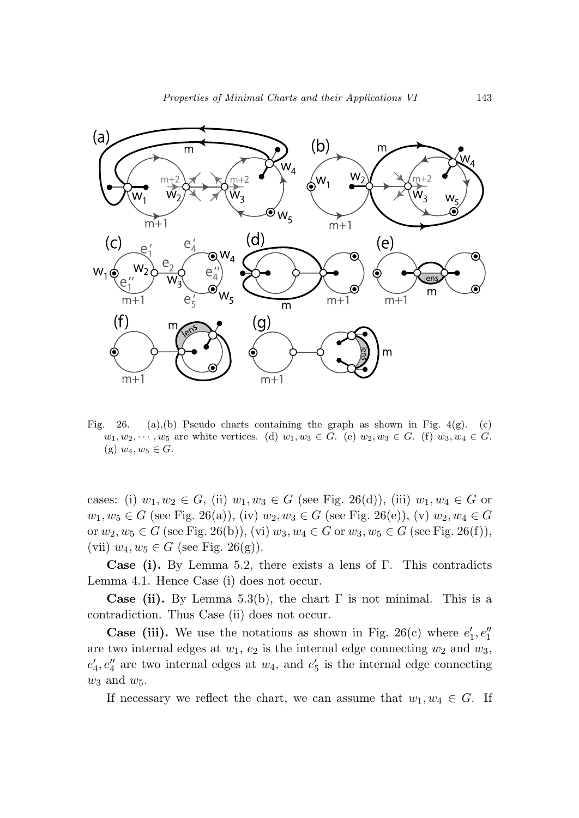

Fig. 26. (a),(b) Pseudo charts containing the graph as shown in Fig.  $4(g)$ . (c)  $w_1, w_2, \dots, w_5$  are white vertices. (d)  $w_1, w_3 \in G$ . (e)  $w_2, w_3 \in G$ . (f)  $w_3, w_4 \in G$ .  $(g)$   $w_4, w_5 \in G$ .

cases: (i)  $w_1, w_2 \in G$ , (ii)  $w_1, w_3 \in G$  (see Fig. 26(d)), (iii)  $w_1, w_4 \in G$  or *w*<sub>1</sub>*, w*<sub>5</sub> ∈ *G* (see Fig. 26(a)), (iv) *w*<sub>2</sub>*, w*<sub>3</sub> ∈ *G* (see Fig. 26(e)), (v) *w*<sub>2</sub>*, w*<sub>4</sub> ∈ *G* or *w*<sub>2</sub>, *w*<sub>5</sub> ∈ *G* (see Fig. 26(b)), (vi) *w*<sub>3</sub>, *w*<sub>4</sub> ∈ *G* or *w*<sub>3</sub>, *w*<sub>5</sub> ∈ *G* (see Fig. 26(f)), (vii)  $w_4, w_5 \in G$  (see Fig. 26(g)).

**Case (i).** By Lemma 5.2, there exists a lens of Γ. This contradicts Lemma 4.1. Hence Case (i) does not occur.

**Case (ii).** By Lemma 5.3(b), the chart  $\Gamma$  is not minimal. This is a contradiction. Thus Case (ii) does not occur.

**Case (iii).** We use the notations as shown in Fig. 26(c) where  $e'_1, e''_1$ are two internal edges at  $w_1$ ,  $e_2$  is the internal edge connecting  $w_2$  and  $w_3$ ,  $e_4, e_4''$  are two internal edges at  $w_4$ , and  $e_5'$  is the internal edge connecting *w*<sup>3</sup> and *w*5.

If necessary we reflect the chart, we can assume that  $w_1, w_4 \in G$ . If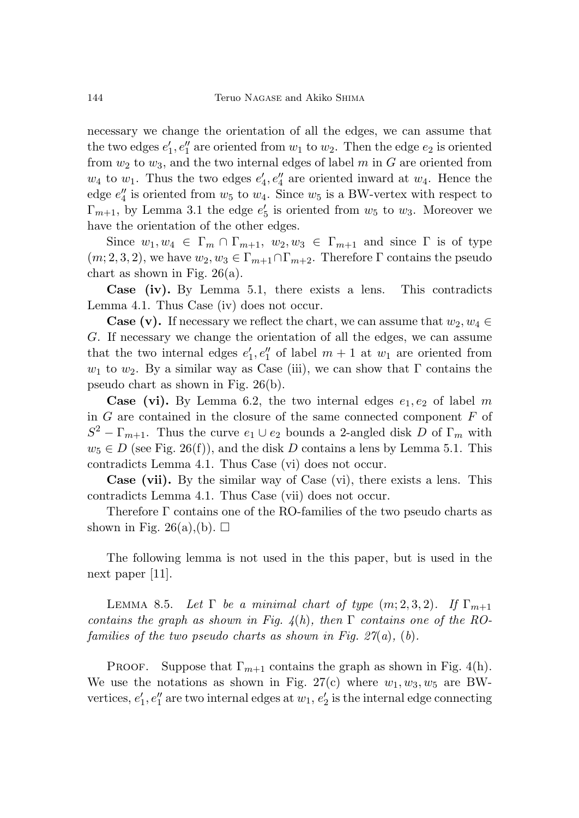necessary we change the orientation of all the edges, we can assume that the two edges  $e'_1, e''_1$  are oriented from  $w_1$  to  $w_2$ . Then the edge  $e_2$  is oriented from  $w_2$  to  $w_3$ , and the two internal edges of label  $m$  in  $G$  are oriented from  $w_4$  to  $w_1$ . Thus the two edges  $e'_4, e''_4$  are oriented inward at  $w_4$ . Hence the edge  $e_4''$  is oriented from  $w_5$  to  $w_4$ . Since  $w_5$  is a BW-vertex with respect to  $\Gamma_{m+1}$ , by Lemma 3.1 the edge  $e'_5$  is oriented from  $w_5$  to  $w_3$ . Moreover we have the orientation of the other edges.

Since  $w_1, w_4 \in \Gamma_m \cap \Gamma_{m+1}, w_2, w_3 \in \Gamma_{m+1}$  and since  $\Gamma$  is of type  $(m, 2, 3, 2)$ , we have  $w_2, w_3 \in \Gamma_{m+1} \cap \Gamma_{m+2}$ . Therefore  $\Gamma$  contains the pseudo chart as shown in Fig.  $26(a)$ .

**Case (iv).** By Lemma 5.1, there exists a lens. This contradicts Lemma 4.1. Thus Case (iv) does not occur.

**Case (v).** If necessary we reflect the chart, we can assume that  $w_2, w_4 \in$ *G*. If necessary we change the orientation of all the edges, we can assume that the two internal edges  $e'_1, e''_1$  of label  $m + 1$  at  $w_1$  are oriented from *w*<sub>1</sub> to *w*<sub>2</sub>. By a similar way as Case (iii), we can show that  $\Gamma$  contains the pseudo chart as shown in Fig. 26(b).

**Case (vi).** By Lemma 6.2, the two internal edges  $e_1, e_2$  of label m in *G* are contained in the closure of the same connected component *F* of  $S^2 - \Gamma_{m+1}$ . Thus the curve  $e_1 \cup e_2$  bounds a 2-angled disk *D* of  $\Gamma_m$  with  $w_5 \in D$  (see Fig. 26(f)), and the disk *D* contains a lens by Lemma 5.1. This contradicts Lemma 4.1. Thus Case (vi) does not occur.

**Case (vii).** By the similar way of Case (vi), there exists a lens. This contradicts Lemma 4.1. Thus Case (vii) does not occur.

Therefore Γ contains one of the RO-families of the two pseudo charts as shown in Fig. 26(a),(b).  $\Box$ 

The following lemma is not used in the this paper, but is used in the next paper [11].

LEMMA 8.5. Let  $\Gamma$  be a minimal chart of type  $(m; 2, 3, 2)$ . If  $\Gamma_{m+1}$ contains the graph as shown in Fig.  $4(h)$ , then  $\Gamma$  contains one of the ROfamilies of the two pseudo charts as shown in Fig.  $27(a)$ , (b).

PROOF. Suppose that  $\Gamma_{m+1}$  contains the graph as shown in Fig. 4(h). We use the notations as shown in Fig. 27(c) where  $w_1, w_3, w_5$  are BWvertices,  $e'_1, e''_1$  are two internal edges at  $w_1, e'_2$  is the internal edge connecting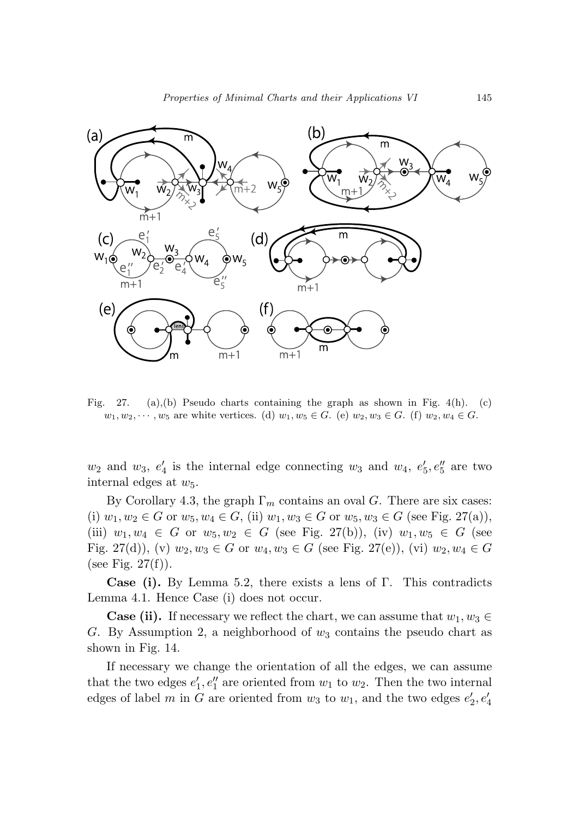

Fig. 27. (a),(b) Pseudo charts containing the graph as shown in Fig. 4(h). (c)  $w_1, w_2, \dots, w_5$  are white vertices. (d)  $w_1, w_5 \in G$ . (e)  $w_2, w_3 \in G$ . (f)  $w_2, w_4 \in G$ .

 $w_2$  and  $w_3$ ,  $e'_4$  is the internal edge connecting  $w_3$  and  $w_4$ ,  $e'_5$ ,  $e''_5$  are two internal edges at *w*5.

By Corollary 4.3, the graph  $\Gamma_m$  contains an oval *G*. There are six cases: (i)  $w_1, w_2 \in G$  or  $w_5, w_4 \in G$ , (ii)  $w_1, w_3 \in G$  or  $w_5, w_3 \in G$  (see Fig. 27(a)), (iii)  $w_1, w_4 \in G$  or  $w_5, w_2 \in G$  (see Fig. 27(b)), (iv)  $w_1, w_5 \in G$  (see Fig. 27(d)), (v)  $w_2, w_3 \in G$  or  $w_4, w_3 \in G$  (see Fig. 27(e)), (vi)  $w_2, w_4 \in G$ (see Fig.  $27(f)$ ).

**Case (i).** By Lemma 5.2, there exists a lens of Γ. This contradicts Lemma 4.1. Hence Case (i) does not occur.

**Case (ii).** If necessary we reflect the chart, we can assume that  $w_1, w_3 \in$ *G*. By Assumption 2, a neighborhood of *w*<sup>3</sup> contains the pseudo chart as shown in Fig. 14.

If necessary we change the orientation of all the edges, we can assume that the two edges  $e'_1, e''_1$  are oriented from  $w_1$  to  $w_2$ . Then the two internal edges of label *m* in *G* are oriented from  $w_3$  to  $w_1$ , and the two edges  $e'_2, e'_4$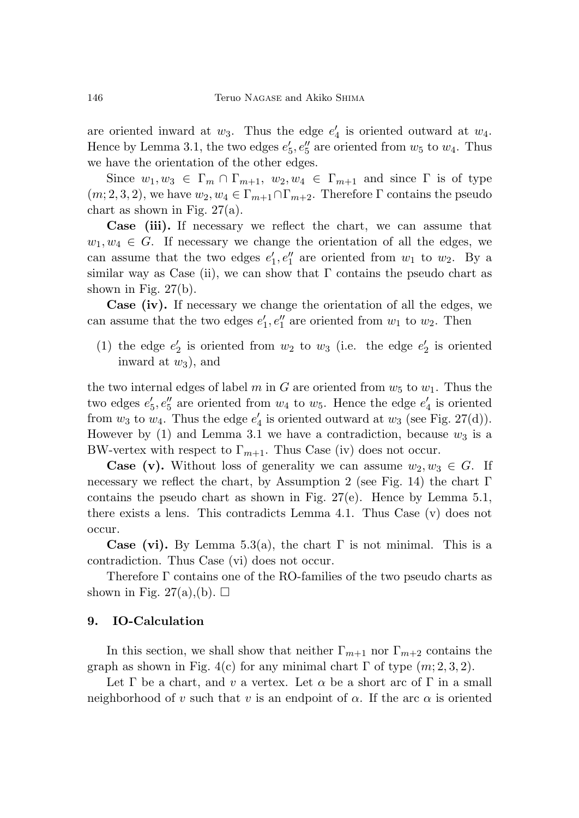are oriented inward at  $w_3$ . Thus the edge  $e'_4$  is oriented outward at  $w_4$ . Hence by Lemma 3.1, the two edges  $e'_5, e''_5$  are oriented from  $w_5$  to  $w_4$ . Thus we have the orientation of the other edges.

Since  $w_1, w_3 \in \Gamma_m \cap \Gamma_{m+1}, w_2, w_4 \in \Gamma_{m+1}$  and since  $\Gamma$  is of type  $(m, 2, 3, 2)$ , we have  $w_2, w_4 \in \Gamma_{m+1} \cap \Gamma_{m+2}$ . Therefore  $\Gamma$  contains the pseudo chart as shown in Fig. 27(a).

**Case (iii).** If necessary we reflect the chart, we can assume that  $w_1, w_4 \in G$ . If necessary we change the orientation of all the edges, we can assume that the two edges  $e'_1, e''_1$  are oriented from  $w_1$  to  $w_2$ . By a similar way as Case (ii), we can show that  $\Gamma$  contains the pseudo chart as shown in Fig. 27(b).

**Case (iv).** If necessary we change the orientation of all the edges, we can assume that the two edges  $e'_1, e''_1$  are oriented from  $w_1$  to  $w_2$ . Then

(1) the edge  $e'_2$  is oriented from  $w_2$  to  $w_3$  (i.e. the edge  $e'_2$  is oriented inward at  $w_3$ ), and

the two internal edges of label *m* in *G* are oriented from  $w_5$  to  $w_1$ . Thus the two edges  $e'_5, e''_5$  are oriented from  $w_4$  to  $w_5$ . Hence the edge  $e'_4$  is oriented from  $w_3$  to  $w_4$ . Thus the edge  $e'_4$  is oriented outward at  $w_3$  (see Fig. 27(d)). However by  $(1)$  and Lemma 3.1 we have a contradiction, because  $w_3$  is a BW-vertex with respect to  $\Gamma_{m+1}$ . Thus Case (iv) does not occur.

**Case (v).** Without loss of generality we can assume  $w_2, w_3 \in G$ . If necessary we reflect the chart, by Assumption 2 (see Fig. 14) the chart  $\Gamma$ contains the pseudo chart as shown in Fig.  $27(e)$ . Hence by Lemma 5.1, there exists a lens. This contradicts Lemma 4.1. Thus Case (v) does not occur.

**Case (vi).** By Lemma 5.3(a), the chart  $\Gamma$  is not minimal. This is a contradiction. Thus Case (vi) does not occur.

Therefore Γ contains one of the RO-families of the two pseudo charts as shown in Fig. 27(a),(b).  $\Box$ 

### **9. IO-Calculation**

In this section, we shall show that neither  $\Gamma_{m+1}$  nor  $\Gamma_{m+2}$  contains the graph as shown in Fig. 4(c) for any minimal chart  $\Gamma$  of type  $(m; 2, 3, 2)$ .

Let  $\Gamma$  be a chart, and *v* a vertex. Let  $\alpha$  be a short arc of  $\Gamma$  in a small neighborhood of *v* such that *v* is an endpoint of  $\alpha$ . If the arc  $\alpha$  is oriented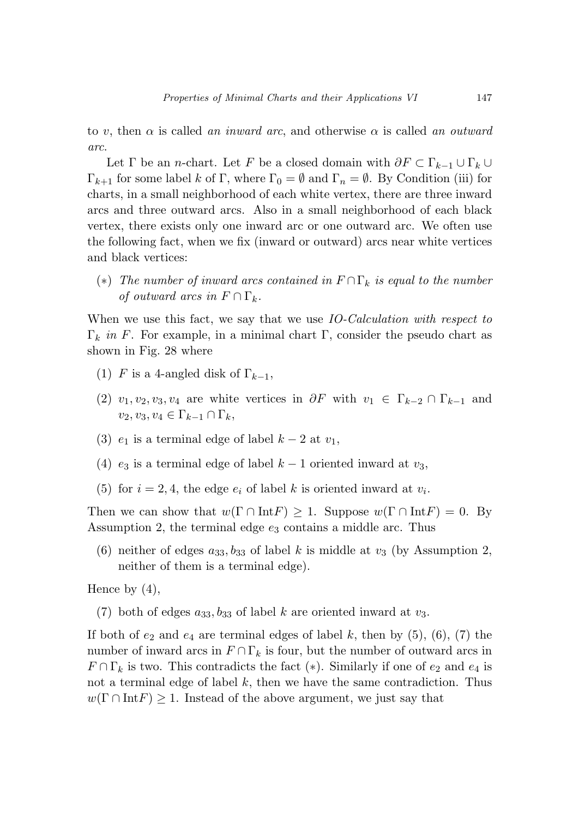to *v*, then  $\alpha$  is called an inward arc, and otherwise  $\alpha$  is called an outward arc.

Let  $\Gamma$  be an *n*-chart. Let  $F$  be a closed domain with  $\partial F \subset \Gamma_{k-1} \cup \Gamma_k \cup$ Γ<sub>k+1</sub> for some label *k* of Γ, where  $\Gamma_0 = \emptyset$  and  $\Gamma_n = \emptyset$ . By Condition (iii) for charts, in a small neighborhood of each white vertex, there are three inward arcs and three outward arcs. Also in a small neighborhood of each black vertex, there exists only one inward arc or one outward arc. We often use the following fact, when we fix (inward or outward) arcs near white vertices and black vertices:

(\*) The number of inward arcs contained in  $F \cap \Gamma_k$  is equal to the number of outward arcs in  $F \cap \Gamma_k$ .

When we use this fact, we say that we use *IO-Calculation with respect to*  $\Gamma_k$  in *F*. For example, in a minimal chart  $\Gamma$ , consider the pseudo chart as shown in Fig. 28 where

- (1) *F* is a 4-angled disk of  $\Gamma_{k-1}$ ,
- (2)  $v_1, v_2, v_3, v_4$  are white vertices in  $\partial F$  with  $v_1 \in \Gamma_{k-2} \cap \Gamma_{k-1}$  and  $v_2, v_3, v_4 \in \Gamma_{k-1} \cap \Gamma_k$
- (3)  $e_1$  is a terminal edge of label  $k-2$  at  $v_1$ ,
- (4)  $e_3$  is a terminal edge of label  $k-1$  oriented inward at  $v_3$ ,
- (5) for  $i = 2, 4$ , the edge  $e_i$  of label k is oriented inward at  $v_i$ .

Then we can show that  $w(\Gamma \cap \text{Int} F) \geq 1$ . Suppose  $w(\Gamma \cap \text{Int} F) = 0$ . By Assumption 2, the terminal edge *e*<sup>3</sup> contains a middle arc. Thus

(6) neither of edges  $a_{33}, b_{33}$  of label *k* is middle at  $v_3$  (by Assumption 2, neither of them is a terminal edge).

Hence by  $(4)$ ,

(7) both of edges  $a_{33}, b_{33}$  of label *k* are oriented inward at  $v_3$ .

If both of  $e_2$  and  $e_4$  are terminal edges of label  $k$ , then by  $(5)$ ,  $(6)$ ,  $(7)$  the number of inward arcs in  $F \cap \Gamma_k$  is four, but the number of outward arcs in  $F \cap \Gamma_k$  is two. This contradicts the fact (\*). Similarly if one of  $e_2$  and  $e_4$  is not a terminal edge of label *k*, then we have the same contradiction. Thus  $w(\Gamma \cap \text{Int} F) \geq 1$ . Instead of the above argument, we just say that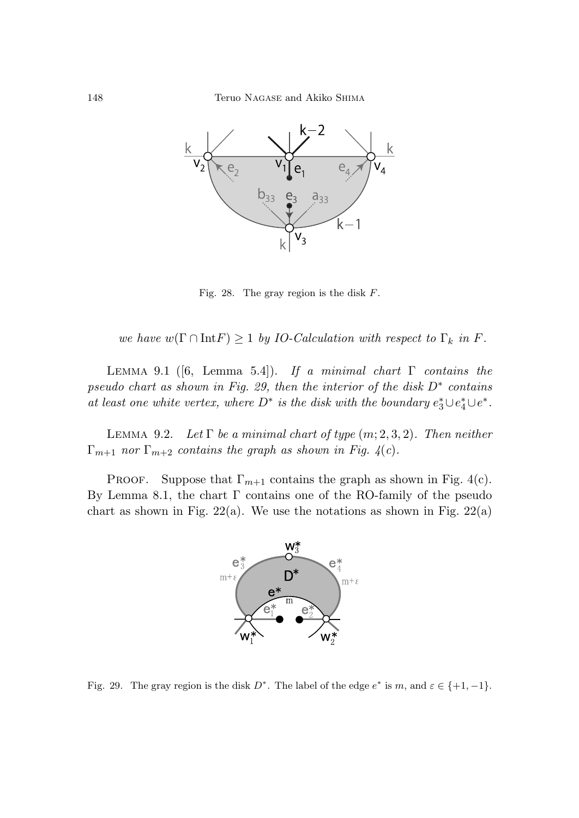

Fig. 28. The gray region is the disk  $F$ .

we have  $w(\Gamma \cap \text{Int} F) \geq 1$  by *IO-Calculation with respect to*  $\Gamma_k$  in *F*.

LEMMA 9.1 ([6, Lemma 5.4]). If a minimal chart  $\Gamma$  contains the pseudo chart as shown in Fig. 29, then the interior of the disk *D*∗ contains at least one white vertex, where  $D^*$  is the disk with the boundary  $e_3^* \cup e_4^* \cup e^*$ .

LEMMA 9.2. Let  $\Gamma$  be a minimal chart of type  $(m; 2, 3, 2)$ . Then neither  $\Gamma_{m+1}$  nor  $\Gamma_{m+2}$  contains the graph as shown in Fig. 4(c).

PROOF. Suppose that  $\Gamma_{m+1}$  contains the graph as shown in Fig. 4(c). By Lemma 8.1, the chart Γ contains one of the RO-family of the pseudo chart as shown in Fig.  $22(a)$ . We use the notations as shown in Fig.  $22(a)$ 



Fig. 29. The gray region is the disk  $D^*$ . The label of the edge  $e^*$  is m, and  $\varepsilon \in \{+1, -1\}$ .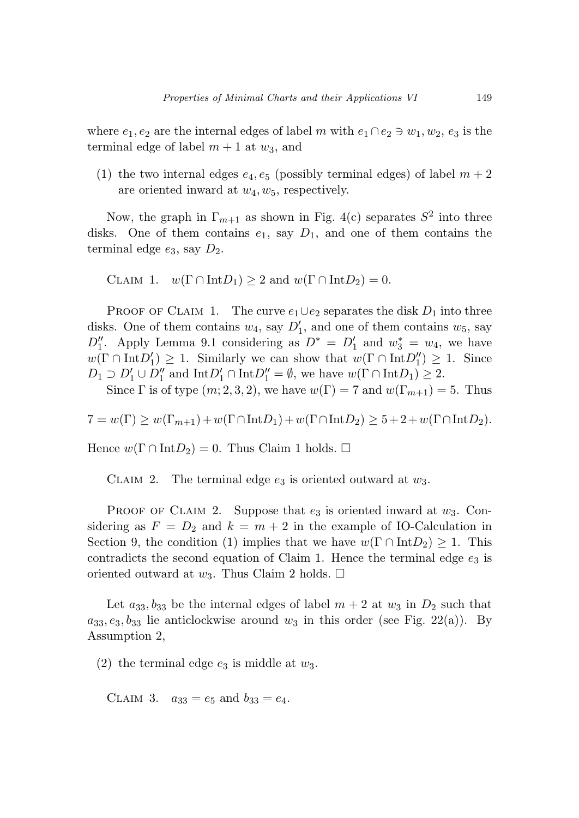where  $e_1, e_2$  are the internal edges of label *m* with  $e_1 \cap e_2 \ni w_1, w_2, e_3$  is the terminal edge of label  $m + 1$  at  $w_3$ , and

(1) the two internal edges  $e_4, e_5$  (possibly terminal edges) of label  $m+2$ are oriented inward at *w*4*, w*5, respectively.

Now, the graph in  $\Gamma_{m+1}$  as shown in Fig. 4(c) separates  $S^2$  into three disks. One of them contains  $e_1$ , say  $D_1$ , and one of them contains the terminal edge *e*3, say *D*2.

CLAIM 1.  $w(\Gamma \cap \text{Int}D_1) \geq 2$  and  $w(\Gamma \cap \text{Int}D_2) = 0$ .

PROOF OF CLAIM 1. The curve  $e_1 \cup e_2$  separates the disk  $D_1$  into three disks. One of them contains  $w_4$ , say  $D'_1$ , and one of them contains  $w_5$ , say  $D_1''$ . Apply Lemma 9.1 considering as  $D^* = D_1'$  and  $w_3^* = w_4$ , we have  $w(\Gamma \cap \text{Int}D_1') \geq 1$ . Similarly we can show that  $w(\Gamma \cap \text{Int}D_1'') \geq 1$ . Since  $D_1 \supset D_1' \cup D_1''$  and  $\text{Int}D_1' \cap \text{Int}D_1'' = \emptyset$ , we have  $w(\Gamma \cap \text{Int}D_1) \geq 2$ .

Since  $\Gamma$  is of type  $(m; 2, 3, 2)$ , we have  $w(\Gamma) = 7$  and  $w(\Gamma_{m+1}) = 5$ . Thus

$$
7 = w(\Gamma) \ge w(\Gamma_{m+1}) + w(\Gamma \cap \text{Int} D_1) + w(\Gamma \cap \text{Int} D_2) \ge 5 + 2 + w(\Gamma \cap \text{Int} D_2).
$$

Hence  $w(\Gamma \cap \text{Int}D_2) = 0$ . Thus Claim 1 holds.  $\square$ 

CLAIM 2. 2. The terminal edge *e*<sup>3</sup> is oriented outward at *w*3.

PROOF OF CLAIM 2. Suppose that  $e_3$  is oriented inward at  $w_3$ . Considering as  $F = D_2$  and  $k = m + 2$  in the example of IO-Calculation in Section 9, the condition (1) implies that we have  $w(\Gamma \cap \text{Int}D_2) \geq 1$ . This contradicts the second equation of Claim 1. Hence the terminal edge  $e_3$  is oriented outward at  $w_3$ . Thus Claim 2 holds.  $\Box$ 

Let  $a_{33}, b_{33}$  be the internal edges of label  $m + 2$  at  $w_3$  in  $D_2$  such that  $a_{33}, e_3, b_{33}$  lie anticlockwise around  $w_3$  in this order (see Fig. 22(a)). By Assumption 2,

(2) the terminal edge  $e_3$  is middle at  $w_3$ .

CLAIM 3.  $a_{33} = e_5$  and  $b_{33} = e_4$ .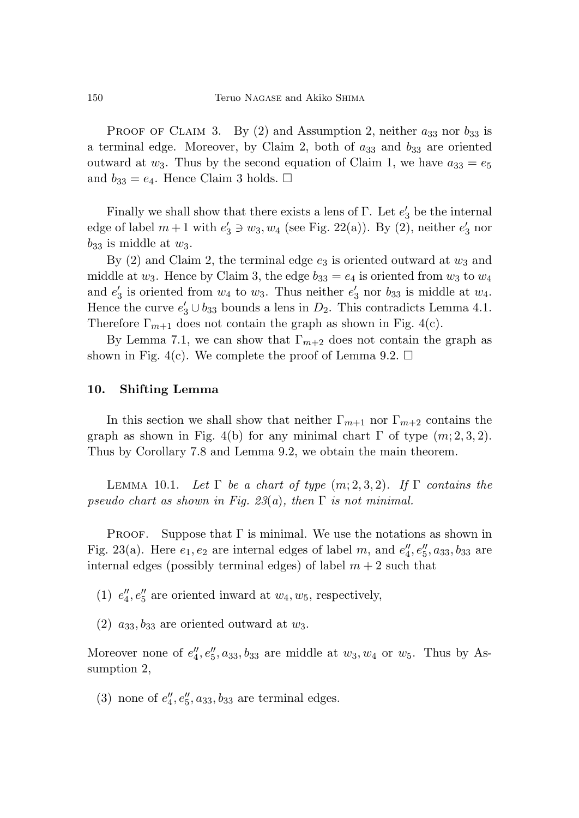PROOF OF CLAIM 3. By  $(2)$  and Assumption 2, neither  $a_{33}$  nor  $b_{33}$  is a terminal edge. Moreover, by Claim 2, both of *a*<sup>33</sup> and *b*<sup>33</sup> are oriented outward at  $w_3$ . Thus by the second equation of Claim 1, we have  $a_{33} = e_5$ and  $b_{33} = e_4$ . Hence Claim 3 holds.  $\Box$ 

Finally we shall show that there exists a lens of  $\Gamma$ . Let  $e'_3$  be the internal edge of label  $m+1$  with  $e'_3 \ni w_3, w_4$  (see Fig. 22(a)). By (2), neither  $e'_3$  nor  $b_{33}$  is middle at  $w_3$ .

By  $(2)$  and Claim 2, the terminal edge  $e_3$  is oriented outward at  $w_3$  and middle at  $w_3$ . Hence by Claim 3, the edge  $b_{33} = e_4$  is oriented from  $w_3$  to  $w_4$ and  $e'_3$  is oriented from  $w_4$  to  $w_3$ . Thus neither  $e'_3$  nor  $b_{33}$  is middle at  $w_4$ . Hence the curve  $e'_3 \cup b_{33}$  bounds a lens in  $D_2$ . This contradicts Lemma 4.1. Therefore  $\Gamma_{m+1}$  does not contain the graph as shown in Fig. 4(c).

By Lemma 7.1, we can show that  $\Gamma_{m+2}$  does not contain the graph as shown in Fig. 4(c). We complete the proof of Lemma 9.2.  $\Box$ 

### **10. Shifting Lemma**

In this section we shall show that neither  $\Gamma_{m+1}$  nor  $\Gamma_{m+2}$  contains the graph as shown in Fig. 4(b) for any minimal chart  $\Gamma$  of type  $(m; 2, 3, 2)$ . Thus by Corollary 7.8 and Lemma 9.2, we obtain the main theorem.

 $LEMMA$  10.1. Let  $\Gamma$  be a chart of type  $(m; 2, 3, 2)$ . If  $\Gamma$  contains the pseudo chart as shown in Fig.  $23(a)$ , then  $\Gamma$  is not minimal.

Proof. Suppose that  $\Gamma$  is minimal. We use the notations as shown in Fig. 23(a). Here  $e_1, e_2$  are internal edges of label *m*, and  $e''_4, e''_5, a_{33}, b_{33}$  are internal edges (possibly terminal edges) of label  $m + 2$  such that

(1)  $e_4''$ ,  $e_5''$  are oriented inward at  $w_4$ ,  $w_5$ , respectively,

 $(2)$   $a_{33}, b_{33}$  are oriented outward at  $w_3$ .

Moreover none of  $e''_4, e''_5, a_{33}, b_{33}$  are middle at  $w_3, w_4$  or  $w_5$ . Thus by Assumption 2,

(3) none of  $e''_4, e''_5, a_{33}, b_{33}$  are terminal edges.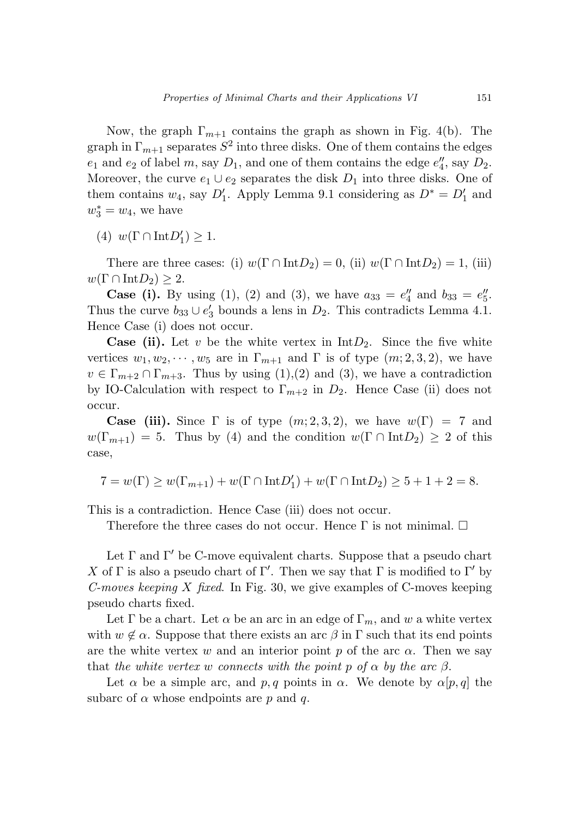Now, the graph  $\Gamma_{m+1}$  contains the graph as shown in Fig. 4(b). The graph in  $\Gamma_{m+1}$  separates  $S^2$  into three disks. One of them contains the edges  $e_1$  and  $e_2$  of label *m*, say  $D_1$ , and one of them contains the edge  $e_4''$ , say  $D_2$ . Moreover, the curve  $e_1 \cup e_2$  separates the disk  $D_1$  into three disks. One of them contains  $w_4$ , say  $D'_1$ . Apply Lemma 9.1 considering as  $D^* = D'_1$  and  $w_3^* = w_4$ , we have

(4)  $w(\Gamma \cap \text{Int}D'_1) \geq 1.$ 

There are three cases: (i)  $w(\Gamma \cap \text{Int}D_2) = 0$ , (ii)  $w(\Gamma \cap \text{Int}D_2) = 1$ , (iii)  $w(\Gamma \cap \text{Int}D_2) \geq 2.$ 

**Case (i).** By using (1), (2) and (3), we have  $a_{33} = e_4''$  and  $b_{33} = e_5''$ . Thus the curve  $b_{33} \cup e'_3$  bounds a lens in  $D_2$ . This contradicts Lemma 4.1. Hence Case (i) does not occur.

**Case (ii).** Let *v* be the white vertex in  $IntD_2$ . Since the five white vertices  $w_1, w_2, \dots, w_5$  are in  $\Gamma_{m+1}$  and  $\Gamma$  is of type  $(m; 2, 3, 2)$ , we have  $v \in \Gamma_{m+2} \cap \Gamma_{m+3}$ . Thus by using (1),(2) and (3), we have a contradiction by IO-Calculation with respect to  $\Gamma_{m+2}$  in  $D_2$ . Hence Case (ii) does not occur.

**Case (iii).** Since  $\Gamma$  is of type  $(m; 2, 3, 2)$ , we have  $w(\Gamma) = 7$  and  $w(\Gamma_{m+1}) = 5$ . Thus by (4) and the condition  $w(\Gamma \cap \text{Int}D_2) \geq 2$  of this case,

$$
7 = w(\Gamma) \ge w(\Gamma_{m+1}) + w(\Gamma \cap \text{Int}D'_1) + w(\Gamma \cap \text{Int}D_2) \ge 5 + 1 + 2 = 8.
$$

This is a contradiction. Hence Case (iii) does not occur.

Therefore the three cases do not occur. Hence  $\Gamma$  is not minimal.  $\Box$ 

Let  $\Gamma$  and  $\Gamma'$  be C-move equivalent charts. Suppose that a pseudo chart *X* of Γ is also a pseudo chart of Γ'. Then we say that Γ is modified to Γ' by C-moves keeping *X* fixed. In Fig. 30, we give examples of C-moves keeping pseudo charts fixed.

Let  $\Gamma$  be a chart. Let  $\alpha$  be an arc in an edge of  $\Gamma_m$ , and w a white vertex with  $w \notin \alpha$ . Suppose that there exists an arc  $\beta$  in  $\Gamma$  such that its end points are the white vertex *w* and an interior point *p* of the arc  $\alpha$ . Then we say that the white vertex *w* connects with the point *p* of  $\alpha$  by the arc  $\beta$ .

Let  $\alpha$  be a simple arc, and  $p, q$  points in  $\alpha$ . We denote by  $\alpha[p, q]$  the subarc of  $\alpha$  whose endpoints are  $p$  and  $q$ .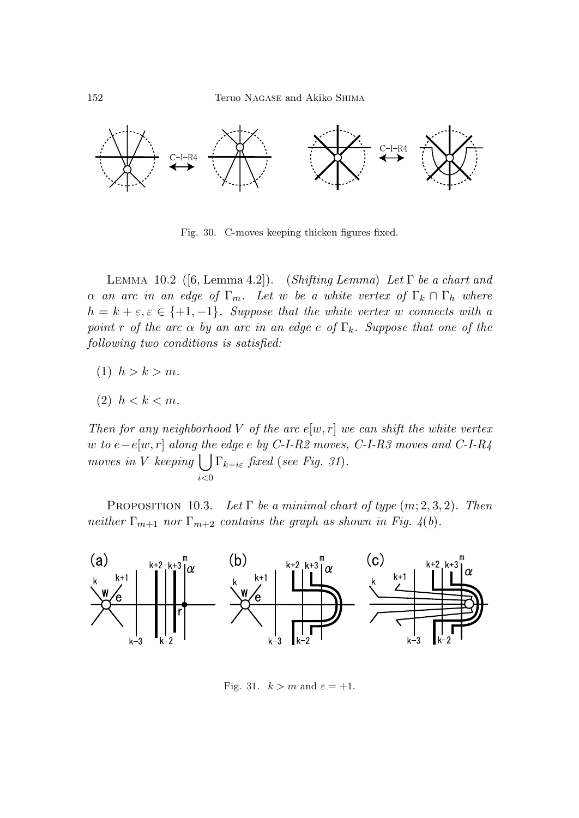

Fig. 30. C-moves keeping thicken figures fixed.

LEMMA 10.2 ([6, Lemma 4.2]). (Shifting Lemma) Let  $\Gamma$  be a chart and *α* an arc in an edge of  $\Gamma_m$ . Let *w* be a white vertex of  $\Gamma_k \cap \Gamma_h$  where  $h = k + \varepsilon, \varepsilon \in \{+1, -1\}.$  Suppose that the white vertex *w* connects with a point *r* of the arc  $\alpha$  by an arc in an edge  $e$  of  $\Gamma_k$ . Suppose that one of the following two conditions is satisfied:

(1)  $h > k > m$ .

$$
(2) \ \ h < k < m.
$$

Then for any neighborhood *V* of the arc  $e[w, r]$  we can shift the white vertex *w* to *e*−*e*[*w, r*] along the edge *e* by C-I-R2 moves, C-I-R3 moves and C-I-R4 moves in *V* keeping  $\bigcup \Gamma_{k+i\varepsilon}$  fixed (see Fig. 31).  $\sum_{i\leq 0}$ 

PROPOSITION 10.3. Let  $\Gamma$  be a minimal chart of type  $(m; 2, 3, 2)$ . Then neither  $\Gamma_{m+1}$  nor  $\Gamma_{m+2}$  contains the graph as shown in Fig. 4(b).



Fig. 31.  $k > m$  and  $\varepsilon = +1$ .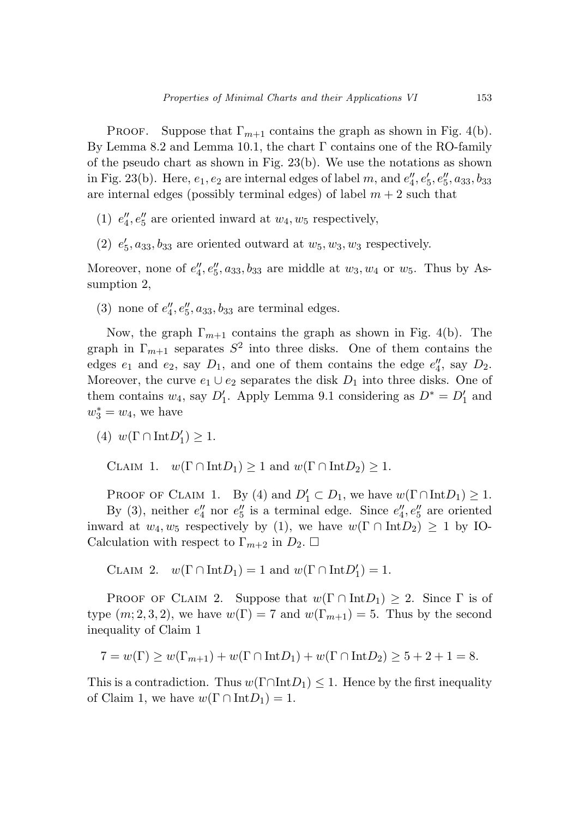Proof. Suppose that  $\Gamma_{m+1}$  contains the graph as shown in Fig. 4(b). By Lemma 8.2 and Lemma 10.1, the chart  $\Gamma$  contains one of the RO-family of the pseudo chart as shown in Fig. 23(b). We use the notations as shown in Fig. 23(b). Here,  $e_1, e_2$  are internal edges of label *m*, and  $e''_4, e'_5, e''_5, a_{33}, b_{33}$ are internal edges (possibly terminal edges) of label  $m + 2$  such that

- (1)  $e_4''$ ,  $e_5''$  are oriented inward at  $w_4$ ,  $w_5$  respectively,
- (2)  $e'_5$ ,  $a_{33}$ ,  $b_{33}$  are oriented outward at  $w_5$ ,  $w_3$ ,  $w_3$  respectively.

Moreover, none of  $e_4''$ ,  $e_5''$ ,  $a_{33}$ ,  $b_{33}$  are middle at  $w_3$ ,  $w_4$  or  $w_5$ . Thus by Assumption 2,

(3) none of  $e''_4, e''_5, a_{33}, b_{33}$  are terminal edges.

Now, the graph  $\Gamma_{m+1}$  contains the graph as shown in Fig. 4(b). The graph in  $\Gamma_{m+1}$  separates  $S^2$  into three disks. One of them contains the edges  $e_1$  and  $e_2$ , say  $D_1$ , and one of them contains the edge  $e_4''$ , say  $D_2$ . Moreover, the curve  $e_1 \cup e_2$  separates the disk  $D_1$  into three disks. One of them contains  $w_4$ , say  $D'_1$ . Apply Lemma 9.1 considering as  $D^* = D'_1$  and  $w_3^* = w_4$ , we have

$$
(4) w(\Gamma \cap \text{Int} D_1') \ge 1.
$$

CLAIM 1.  $w(\Gamma \cap \text{Int}D_1) \geq 1$  and  $w(\Gamma \cap \text{Int}D_2) \geq 1$ .

PROOF OF CLAIM 1. By (4) and  $D'_1 \subset D_1$ , we have  $w(\Gamma \cap \text{Int} D_1) \geq 1$ .

By (3), neither  $e_4''$  nor  $e_5''$  is a terminal edge. Since  $e_4''$ ,  $e_5''$  are oriented inward at  $w_4, w_5$  respectively by (1), we have  $w(\Gamma \cap \text{Int}D_2) \geq 1$  by IO-Calculation with respect to  $\Gamma_{m+2}$  in  $D_2$ .  $\Box$ 

CLAIM 2.  $w(\Gamma \cap \text{Int}D_1) = 1$  and  $w(\Gamma \cap \text{Int}D_1') = 1$ .

PROOF OF CLAIM 2. Suppose that  $w(\Gamma \cap \text{Int}D_1) \geq 2$ . Since  $\Gamma$  is of type  $(m; 2, 3, 2)$ , we have  $w(\Gamma) = 7$  and  $w(\Gamma_{m+1}) = 5$ . Thus by the second inequality of Claim 1

$$
7 = w(\Gamma) \ge w(\Gamma_{m+1}) + w(\Gamma \cap \text{Int} D_1) + w(\Gamma \cap \text{Int} D_2) \ge 5 + 2 + 1 = 8.
$$

This is a contradiction. Thus  $w(\Gamma \cap \text{Int} D_1) \leq 1$ . Hence by the first inequality of Claim 1, we have  $w(\Gamma \cap \text{Int}D_1) = 1$ .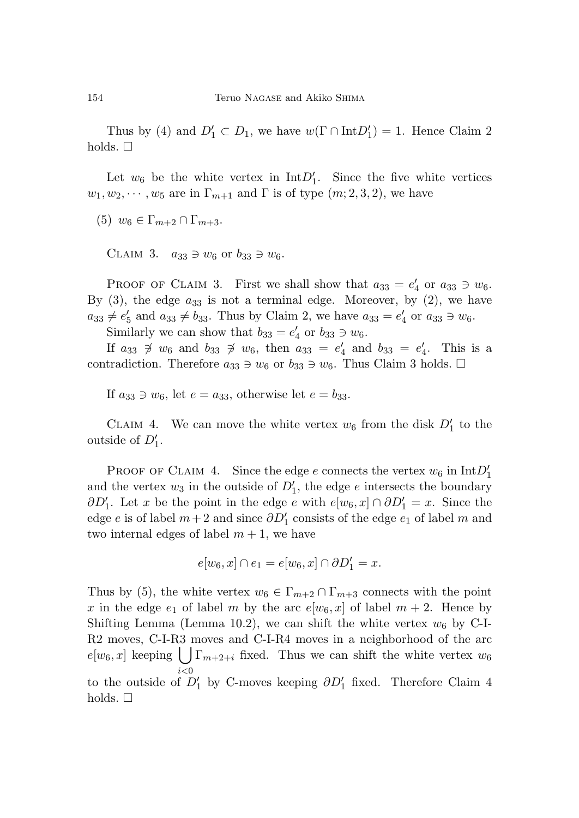Thus by (4) and  $D'_1 \subset D_1$ , we have  $w(\Gamma \cap \text{Int} D'_1) = 1$ . Hence Claim 2 holds.  $\Box$ 

Let  $w_6$  be the white vertex in  $IntD'_1$ . Since the five white vertices  $w_1, w_2, \dots, w_5$  are in  $\Gamma_{m+1}$  and  $\Gamma$  is of type  $(m; 2, 3, 2)$ , we have

 $(5)$   $w_6 \in \Gamma_{m+2} \cap \Gamma_{m+3}$ .

CLAIM 3.  $a_{33} \ni w_6$  or  $b_{33} \ni w_6$ .

PROOF OF CLAIM 3. First we shall show that  $a_{33} = e'_4$  or  $a_{33} \ni w_6$ . By  $(3)$ , the edge  $a_{33}$  is not a terminal edge. Moreover, by  $(2)$ , we have  $a_{33} \neq e'_5$  and  $a_{33} \neq b_{33}$ . Thus by Claim 2, we have  $a_{33} = e'_4$  or  $a_{33} \ni w_6$ .

Similarly we can show that  $b_{33} = e'_4$  or  $b_{33} \ni w_6$ .

If  $a_{33} \neq w_6$  and  $b_{33} \neq w_6$ , then  $a_{33} = e'_4$  and  $b_{33} = e'_4$ . This is a contradiction. Therefore  $a_{33} \ni w_6$  or  $b_{33} \ni w_6$ . Thus Claim 3 holds.  $\Box$ 

If  $a_{33} \ni w_6$ , let  $e = a_{33}$ , otherwise let  $e = b_{33}$ .

CLAIM 4. We can move the white vertex  $w_6$  from the disk  $D'_1$  to the outside of  $D'_1$ .

PROOF OF CLAIM 4. Since the edge *e* connects the vertex  $w_6$  in  $IntD'_1$ and the vertex  $w_3$  in the outside of  $D'_1$ , the edge  $e$  intersects the boundary *∂D*<sup>'</sup><sub>1</sub>. Let *x* be the point in the edge *e* with  $e[w_6, x] \cap \partial D'_1 = x$ . Since the edge *e* is of label  $m+2$  and since  $\partial D'_{1}$  consists of the edge  $e_{1}$  of label  $m$  and two internal edges of label  $m + 1$ , we have

$$
e[w_6, x] \cap e_1 = e[w_6, x] \cap \partial D'_1 = x.
$$

Thus by (5), the white vertex  $w_6 \in \Gamma_{m+2} \cap \Gamma_{m+3}$  connects with the point *x* in the edge  $e_1$  of label *m* by the arc  $e[w_6, x]$  of label  $m + 2$ . Hence by Shifting Lemma (Lemma 10.2), we can shift the white vertex  $w_6$  by C-I-R2 moves, C-I-R3moves and C-I-R4 moves in a neighborhood of the arc  $e[w_6, x]$  keeping  $\left( \int \Gamma_{m+2+i} \right)$  fixed. Thus we can shift the white vertex  $w_6$ *i<*0 to the outside of  $D'_1$  by C-moves keeping  $\partial D'_1$  fixed. Therefore Claim 4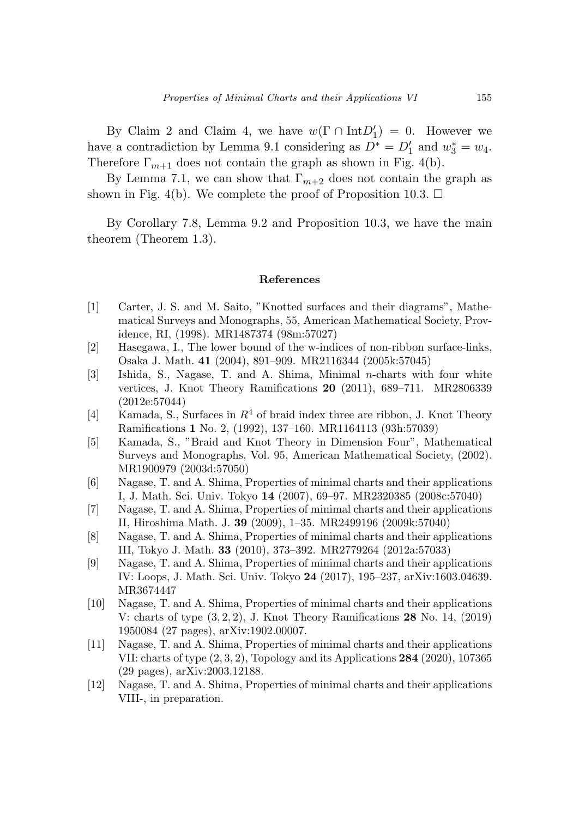By Claim 2 and Claim 4, we have  $w(\Gamma \cap \text{Int}D_1') = 0$ . However we have a contradiction by Lemma 9.1 considering as  $D^* = D'_1$  and  $w_3^* = w_4$ . Therefore  $\Gamma_{m+1}$  does not contain the graph as shown in Fig. 4(b).

By Lemma 7.1, we can show that  $\Gamma_{m+2}$  does not contain the graph as shown in Fig. 4(b). We complete the proof of Proposition 10.3.  $\Box$ 

By Corollary 7.8, Lemma 9.2 and Proposition 10.3, we have the main theorem (Theorem 1.3).

#### **References**

- [1] Carter, J. S. and M. Saito, "Knotted surfaces and their diagrams", Mathematical Surveys and Monographs, 55, American Mathematical Society, Providence, RI, (1998). MR1487374 (98m:57027)
- [2] Hasegawa, I., The lower bound of the w-indices of non-ribbon surface-links, Osaka J. Math. **41** (2004), 891–909. MR2116344 (2005k:57045)
- [3] Ishida, S., Nagase, T. and A. Shima, Minimal *n*-charts with four white vertices, J. Knot Theory Ramifications **20** (2011), 689–711. MR2806339 (2012e:57044)
- [4] Kamada, S., Surfaces in *R*<sup>4</sup> of braid index three are ribbon, J. Knot Theory Ramifications **1** No. 2, (1992), 137–160. MR1164113 (93h:57039)
- [5] Kamada, S., "Braid and Knot Theory in Dimension Four", Mathematical Surveys and Monographs, Vol. 95, American Mathematical Society, (2002). MR1900979 (2003d:57050)
- [6] Nagase, T. and A. Shima, Properties of minimal charts and their applications I, J. Math. Sci. Univ. Tokyo **14** (2007), 69–97. MR2320385 (2008c:57040)
- [7] Nagase, T. and A. Shima, Properties of minimal charts and their applications II, Hiroshima Math. J. **39** (2009), 1–35. MR2499196 (2009k:57040)
- [8] Nagase, T. and A. Shima, Properties of minimal charts and their applications III, Tokyo J. Math. **33** (2010), 373–392. MR2779264 (2012a:57033)
- [9] Nagase, T. and A. Shima, Properties of minimal charts and their applications IV: Loops, J. Math. Sci. Univ. Tokyo **24** (2017), 195–237, arXiv:1603.04639. MR3674447
- [10] Nagase, T. and A. Shima, Properties of minimal charts and their applications V: charts of type (3*,* 2*,* 2), J. Knot Theory Ramifications **28** No. 14, (2019) 1950084 (27 pages), arXiv:1902.00007.
- [11] Nagase, T. and A. Shima, Properties of minimal charts and their applications VII: charts of type (2*,* 3*,* 2), Topology and its Applications **284** (2020), 107365 (29 pages), arXiv:2003.12188.
- [12] Nagase, T. and A. Shima, Properties of minimal charts and their applications VIII-, in preparation.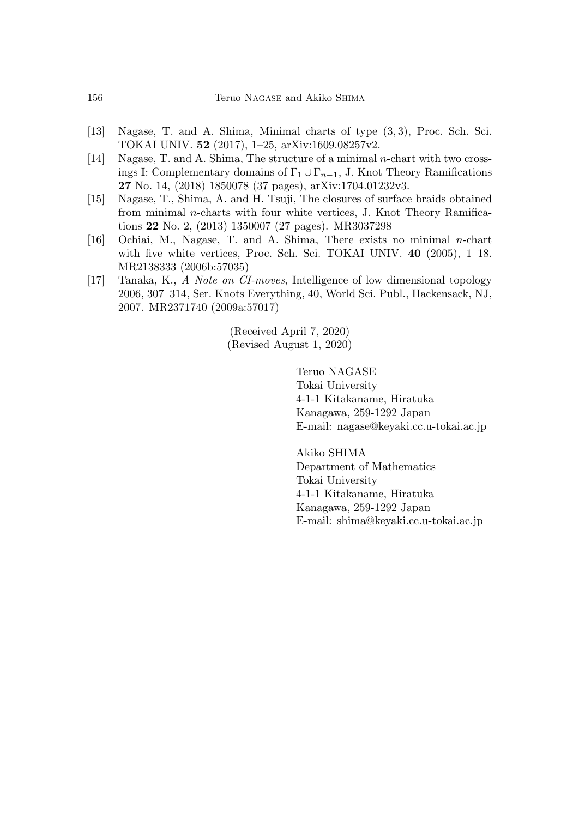- [13] Nagase, T. and A. Shima, Minimal charts of type (3*,* 3), Proc. Sch. Sci. TOKAI UNIV. **52** (2017), 1–25, arXiv:1609.08257v2.
- [14] Nagase, T. and A. Shima, The structure of a minimal *n*-chart with two crossings I: Complementary domains of  $\Gamma_1 \cup \Gamma_{n-1}$ , J. Knot Theory Ramifications **27** No. 14, (2018) 1850078 (37 pages), arXiv:1704.01232v3.
- [15] Nagase, T., Shima, A. and H. Tsuji, The closures of surface braids obtained from minimal *n*-charts with four white vertices, J. Knot Theory Ramifications **22** No. 2, (2013) 1350007 (27 pages). MR3037298
- [16] Ochiai, M., Nagase, T. and A. Shima, There exists no minimal *n*-chart with five white vertices, Proc. Sch. Sci. TOKAI UNIV. **40** (2005), 1–18. MR2138333 (2006b:57035)
- [17] Tanaka, K., A Note on CI-moves, Intelligence of low dimensional topology 2006, 307–314, Ser. Knots Everything, 40, World Sci. Publ., Hackensack, NJ, 2007. MR2371740 (2009a:57017)

(Received April 7, 2020) (Revised August 1, 2020)

> Teruo NAGASE Tokai University 4-1-1 Kitakaname, Hiratuka Kanagawa, 259-1292 Japan E-mail: nagase@keyaki.cc.u-tokai.ac.jp

Akiko SHIMA Department of Mathematics Tokai University 4-1-1 Kitakaname, Hiratuka Kanagawa, 259-1292 Japan E-mail: shima@keyaki.cc.u-tokai.ac.jp